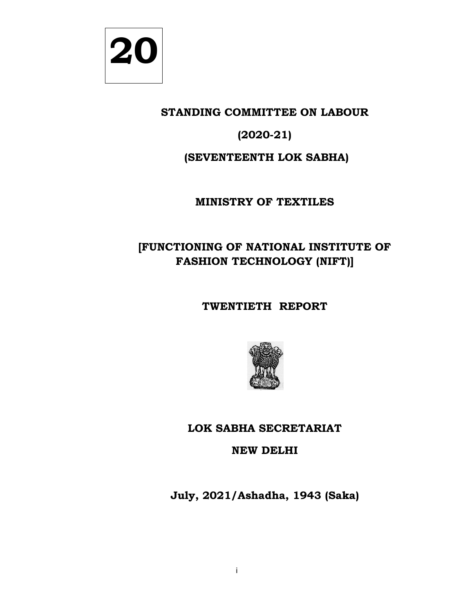

# **STANDING COMMITTEE ON LABOUR**

# **(2020-21)**

# **(SEVENTEENTH LOK SABHA)**

# **MINISTRY OF TEXTILES**

# **[FUNCTIONING OF NATIONAL INSTITUTE OF**  FUNCTIONING OF NATIONAL INSTITU<br>FASHION TECHNOLOGY (NIFT)] ON LABOUR<br>| SABHA**)**<br>TILES<br>|-<br>| INSTITUTE OF

# **TWENTIETH REPORT**



# **LOK SABHA SECRETARIAT**

# **NEW DELHI**

**July July, 2021/Ashadha, 1943 (Saka)**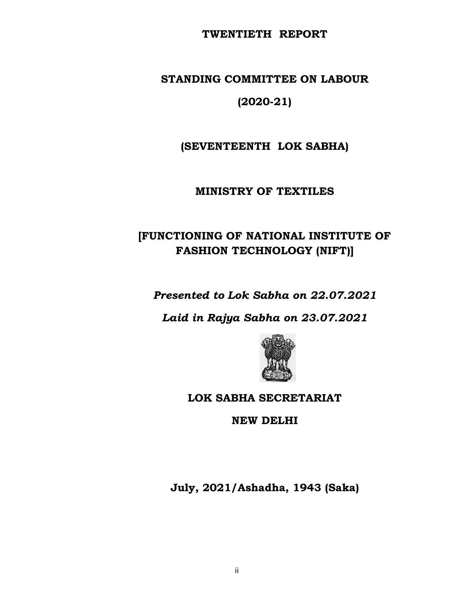#### **TWENTIETH REPORT**

# **STANDING COMMITTEE ON LABOUR**

# **(2020-21)**

**(SEVENTEENTH LOK SABHA)**

#### **MINISTRY OF TEXTILES**

# FUNCTIONING OF NATIONAL INSTITUTE OF!<br>FASHION TECHNOLOGY (NIFT)] **FASHION TECHNOLOGY (NIFT)** ON LABOUR<br>| SABHA**)**<br>TILES<br>|-

*Presented to Lok Sabha on 22.07.2021*

*Laid in Rajya Sabha on 23.07.2021 .07.2021*



## **LOK SABHA SECRETARIAT**

**NEW DELHI**

**July July, 2021/Ashadha, 1943 (Saka)**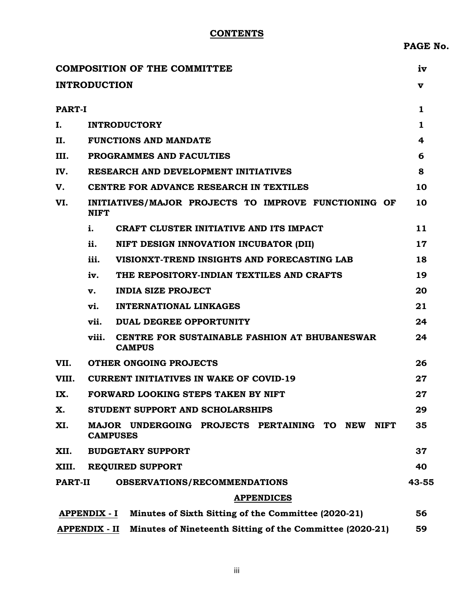#### **CONTENTS**

**PAGE No.** 

|                     |                      | <b>COMPOSITION OF THE COMMITTEE</b>                                           | iv     |  |  |  |  |
|---------------------|----------------------|-------------------------------------------------------------------------------|--------|--|--|--|--|
| <b>INTRODUCTION</b> |                      |                                                                               | v      |  |  |  |  |
|                     |                      |                                                                               |        |  |  |  |  |
| <b>PART-I</b>       |                      |                                                                               | 1      |  |  |  |  |
| I.                  |                      | <b>INTRODUCTORY</b>                                                           | 1<br>4 |  |  |  |  |
| Н.                  |                      | <b>FUNCTIONS AND MANDATE</b>                                                  |        |  |  |  |  |
| III.                |                      | <b>PROGRAMMES AND FACULTIES</b>                                               |        |  |  |  |  |
| IV.                 |                      | RESEARCH AND DEVELOPMENT INITIATIVES                                          |        |  |  |  |  |
| V.                  |                      | CENTRE FOR ADVANCE RESEARCH IN TEXTILES                                       | 10     |  |  |  |  |
| VI.                 | <b>NIFT</b>          | INITIATIVES/MAJOR PROJECTS TO IMPROVE FUNCTIONING OF                          | 10     |  |  |  |  |
|                     | i.                   | CRAFT CLUSTER INITIATIVE AND ITS IMPACT                                       | 11     |  |  |  |  |
|                     | ii.                  | NIFT DESIGN INNOVATION INCUBATOR (DII)                                        | 17     |  |  |  |  |
|                     | iii.                 | VISIONXT-TREND INSIGHTS AND FORECASTING LAB                                   | 18     |  |  |  |  |
|                     | iv.                  | THE REPOSITORY-INDIAN TEXTILES AND CRAFTS                                     | 19     |  |  |  |  |
|                     | v.                   | <b>INDIA SIZE PROJECT</b>                                                     | 20     |  |  |  |  |
|                     | vi.                  | <b>INTERNATIONAL LINKAGES</b>                                                 | 21     |  |  |  |  |
|                     | vii.                 | DUAL DEGREE OPPORTUNITY                                                       | 24     |  |  |  |  |
|                     | viii.                | CENTRE FOR SUSTAINABLE FASHION AT BHUBANESWAR<br><b>CAMPUS</b>                | 24     |  |  |  |  |
| VII.                |                      | <b>OTHER ONGOING PROJECTS</b>                                                 | 26     |  |  |  |  |
| VIII.               |                      | <b>CURRENT INITIATIVES IN WAKE OF COVID-19</b>                                | 27     |  |  |  |  |
| IX.                 |                      | FORWARD LOOKING STEPS TAKEN BY NIFT                                           | 27     |  |  |  |  |
| X.                  |                      | STUDENT SUPPORT AND SCHOLARSHIPS                                              | 29     |  |  |  |  |
| XI.                 |                      | MAJOR UNDERGOING PROJECTS PERTAINING TO NEW<br><b>NIFT</b><br><b>CAMPUSES</b> | 35     |  |  |  |  |
| XII.                |                      | <b>BUDGETARY SUPPORT</b>                                                      | 37     |  |  |  |  |
| XIII.               |                      | <b>REQUIRED SUPPORT</b>                                                       | 40     |  |  |  |  |
| <b>PART-II</b>      |                      | <b>OBSERVATIONS/RECOMMENDATIONS</b>                                           | 43-55  |  |  |  |  |
|                     |                      | <b>APPENDICES</b>                                                             |        |  |  |  |  |
|                     | <b>APPENDIX - I</b>  | Minutes of Sixth Sitting of the Committee (2020-21)                           | 56     |  |  |  |  |
|                     | <b>APPENDIX - II</b> | Minutes of Nineteenth Sitting of the Committee (2020-21)                      | 59     |  |  |  |  |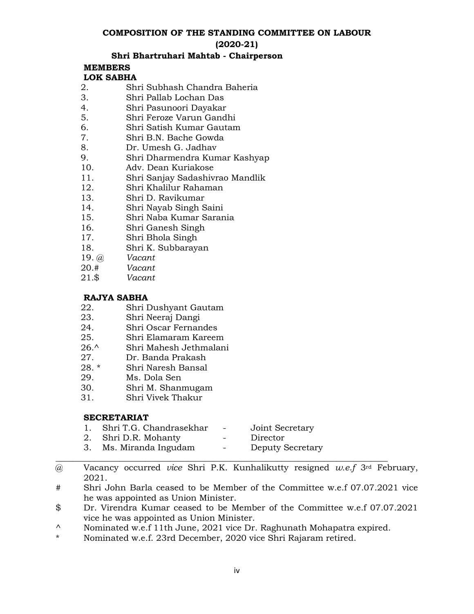#### **COMPOSITION OF THE STANDING COMMITTEE ON LABOUR**

#### **(2020-21)**

#### **Shri Bhartruhari Mahtab - Chairperson**

# **MEMBERS**

#### **LOK SABHA**

- 2. Shri Subhash Chandra Baheria
- 3. Shri Pallab Lochan Das
- 4. Shri Pasunoori Dayakar
- 5. Shri Feroze Varun Gandhi
- 6. Shri Satish Kumar Gautam
- 7. Shri B.N. Bache Gowda
- 8. Dr. Umesh G. Jadhav
- 9. Shri Dharmendra Kumar Kashyap
- 10. Adv. Dean Kuriakose
- 11. Shri Sanjay Sadashivrao Mandlik<br>12. Shri Khalilur Rahaman
- 12. Shri Khalilur Rahaman<br>13. Shri D. Ravikumar
- 13. Shri D. Ravikumar
- 14. Shri Nayab Singh Saini
- 15. Shri Naba Kumar Sarania
- 16. Shri Ganesh Singh
- 17. Shri Bhola Singh
- 18. Shri K. Subbarayan
- 19. @ *Vacant*
- 20.# *Vacant*
- $Vacant$

#### **RAJYA SABHA**

- 22. Shri Dushyant Gautam
- 23. Shri Neeraj Dangi
- 24. Shri Oscar Fernandes
- 25. Shri Elamaram Kareem
- 26.^ Shri Mahesh Jethmalani
- 27. Dr. Banda Prakash
- Shri Naresh Bansal
- 29. Ms. Dola Sen
- 30. Shri M. Shanmugam
- 31. Shri Vivek Thakur

#### **SECRETARIAT**

- 1. Shri T.G. Chandrasekhar Joint Secretary
- 
- 2. Shri D.R. Mohanty Director<br>3. Ms. Miranda Ingudam Deputy Secretary 3. Ms. Miranda Ingudam -
- **\_\_\_\_\_\_\_\_\_\_\_\_\_\_\_\_\_\_\_\_\_\_\_\_\_\_\_\_\_\_\_\_\_\_\_\_\_\_\_\_\_\_\_\_\_\_\_\_\_\_\_\_\_\_\_\_\_\_\_\_\_\_\_\_\_\_\_\_\_\_\_\_\_\_\_\_\_\_** @ Vacancy occurred *vice* Shri P.K. Kunhalikutty resigned *w.e.f* 3rd February, 2021.
- # Shri John Barla ceased to be Member of the Committee w.e.f 07.07.2021 vice he was appointed as Union Minister.
- \$ Dr. Virendra Kumar ceased to be Member of the Committee w.e.f 07.07.2021 vice he was appointed as Union Minister.
- <sup>^</sup> Nominated w.e.f 11th June, 2021 vice Dr. Raghunath Mohapatra expired.<br>Nominated w.e.f. 22rd December, 2020 vice Shri Beierem retired.
- Nominated w.e.f. 23rd December, 2020 vice Shri Rajaram retired.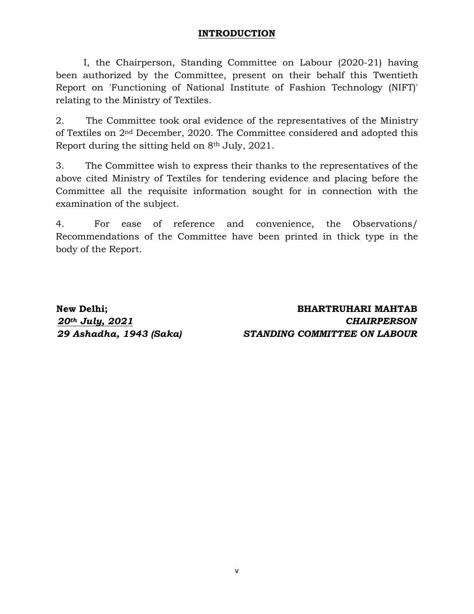#### **INTRODUCTION**

I, the Chairperson, Standing Committee on Labour (2020-21) having been authorized by the Committee, present on their behalf this Twentieth Report on 'Functioning of National Institute of Fashion Technology (NIFT)' relating to the Ministry of Textiles.

2. The Committee took oral evidence of the representatives of the Ministry of Textiles on 2nd December, 2020. The Committee considered and adopted this Report during the sitting held on 8th July, 2021.

3. The Committee wish to express their thanks to the representatives of the above cited Ministry of Textiles for tendering evidence and placing before the Committee all the requisite information sought for in connection with the examination of the subject.

4. For ease of reference and convenience, the Observations/ Recommendations of the Committee have been printed in thick type in the body of the Report.

**New Delhi; BHARTRUHARI MAHTAB** *20th July, 2021 CHAIRPERSON 29 Ashadha, 1943 (Saka) STANDING COMMITTEE ON LABOUR*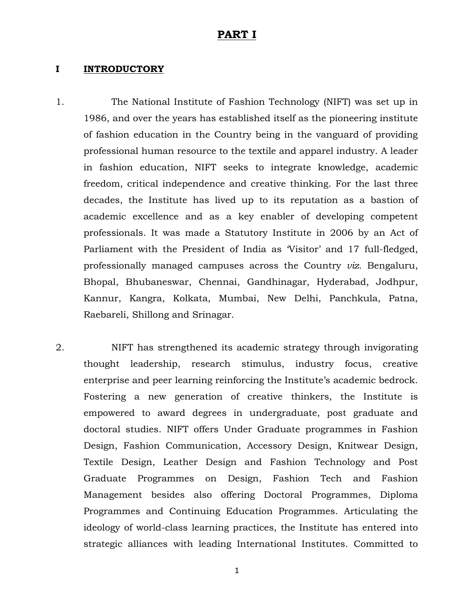#### **PART I**

#### **I INTRODUCTORY**

1. The National Institute of Fashion Technology (NIFT) was set up in 1986, and over the years has established itself as the pioneering institute of fashion education in the Country being in the vanguard of providing professional human resource to the textile and apparel industry. A leader in fashion education, NIFT seeks to integrate knowledge, academic freedom, critical independence and creative thinking. For the last three decades, the Institute has lived up to its reputation as a bastion of academic excellence and as a key enabler of developing competent professionals. It was made a Statutory Institute in 2006 by an Act of Parliament with the President of India as 'Visitor' and 17 full-fledged, professionally managed campuses across the Country *viz.* Bengaluru, Bhopal, Bhubaneswar, Chennai, Gandhinagar, Hyderabad, Jodhpur, Kannur, Kangra, Kolkata, Mumbai, New Delhi, Panchkula, Patna, Raebareli, Shillong and Srinagar.

2. NIFT has strengthened its academic strategy through invigorating thought leadership, research stimulus, industry focus, creative enterprise and peer learning reinforcing the Institute's academic bedrock. Fostering a new generation of creative thinkers, the Institute is empowered to award degrees in undergraduate, post graduate and doctoral studies. NIFT offers Under Graduate programmes in Fashion Design, Fashion Communication, Accessory Design, Knitwear Design, Textile Design, Leather Design and Fashion Technology and Post Graduate Programmes on Design, Fashion Tech and Fashion Management besides also offering Doctoral Programmes, Diploma Programmes and Continuing Education Programmes. Articulating the ideology of world-class learning practices, the Institute has entered into strategic alliances with leading International Institutes. Committed to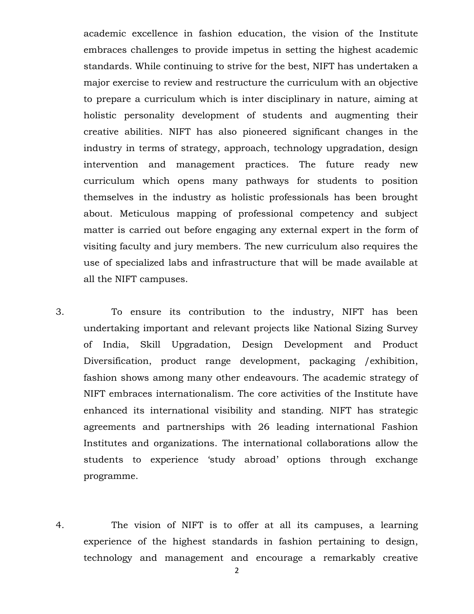academic excellence in fashion education, the vision of the Institute embraces challenges to provide impetus in setting the highest academic standards. While continuing to strive for the best, NIFT has undertaken a major exercise to review and restructure the curriculum with an objective to prepare a curriculum which is inter disciplinary in nature, aiming at holistic personality development of students and augmenting their creative abilities. NIFT has also pioneered significant changes in the industry in terms of strategy, approach, technology upgradation, design intervention and management practices. The future ready new curriculum which opens many pathways for students to position themselves in the industry as holistic professionals has been brought about. Meticulous mapping of professional competency and subject matter is carried out before engaging any external expert in the form of visiting faculty and jury members. The new curriculum also requires the use of specialized labs and infrastructure that will be made available at all the NIFT campuses.

3. To ensure its contribution to the industry, NIFT has been undertaking important and relevant projects like National Sizing Survey of India, Skill Upgradation, Design Development and Product Diversification, product range development, packaging /exhibition, fashion shows among many other endeavours. The academic strategy of NIFT embraces internationalism. The core activities of the Institute have enhanced its international visibility and standing. NIFT has strategic agreements and partnerships with 26 leading international Fashion Institutes and organizations. The international collaborations allow the students to experience 'study abroad' options through exchange programme.

4. The vision of NIFT is to offer at all its campuses, a learning experience of the highest standards in fashion pertaining to design, technology and management and encourage a remarkably creative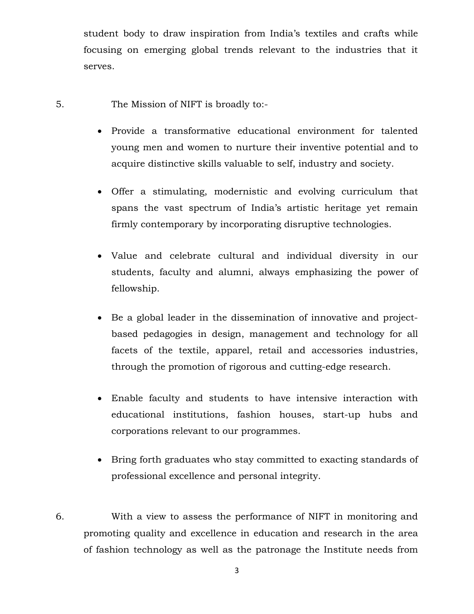student body to draw inspiration from India's textiles and crafts while focusing on emerging global trends relevant to the industries that it serves.

- 5. The Mission of NIFT is broadly to:-
	- Provide a transformative educational environment for talented young men and women to nurture their inventive potential and to acquire distinctive skills valuable to self, industry and society.
	- Offer a stimulating, modernistic and evolving curriculum that spans the vast spectrum of India's artistic heritage yet remain firmly contemporary by incorporating disruptive technologies.
	- Value and celebrate cultural and individual diversity in our students, faculty and alumni, always emphasizing the power of fellowship.
	- Be a global leader in the dissemination of innovative and projectbased pedagogies in design, management and technology for all facets of the textile, apparel, retail and accessories industries, through the promotion of rigorous and cutting-edge research.
	- Enable faculty and students to have intensive interaction with educational institutions, fashion houses, start-up hubs and corporations relevant to our programmes.
	- Bring forth graduates who stay committed to exacting standards of professional excellence and personal integrity.
- 6. With a view to assess the performance of NIFT in monitoring and promoting quality and excellence in education and research in the area of fashion technology as well as the patronage the Institute needs from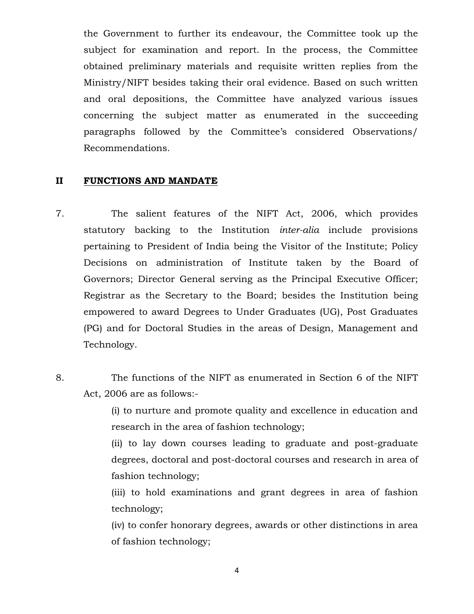the Government to further its endeavour, the Committee took up the subject for examination and report. In the process, the Committee obtained preliminary materials and requisite written replies from the Ministry/NIFT besides taking their oral evidence. Based on such written and oral depositions, the Committee have analyzed various issues concerning the subject matter as enumerated in the succeeding paragraphs followed by the Committee's considered Observations/ Recommendations.

#### **II FUNCTIONS AND MANDATE**

- 7. The salient features of the NIFT Act, 2006, which provides statutory backing to the Institution *inter-alia* include provisions pertaining to President of India being the Visitor of the Institute; Policy Decisions on administration of Institute taken by the Board of Governors; Director General serving as the Principal Executive Officer; Registrar as the Secretary to the Board; besides the Institution being empowered to award Degrees to Under Graduates (UG), Post Graduates (PG) and for Doctoral Studies in the areas of Design, Management and Technology.
- 8. The functions of the NIFT as enumerated in Section 6 of the NIFT Act, 2006 are as follows:-

(i) to nurture and promote quality and excellence in education and research in the area of fashion technology;

(ii) to lay down courses leading to graduate and post-graduate degrees, doctoral and post-doctoral courses and research in area of fashion technology;

(iii) to hold examinations and grant degrees in area of fashion technology;

(iv) to confer honorary degrees, awards or other distinctions in area of fashion technology;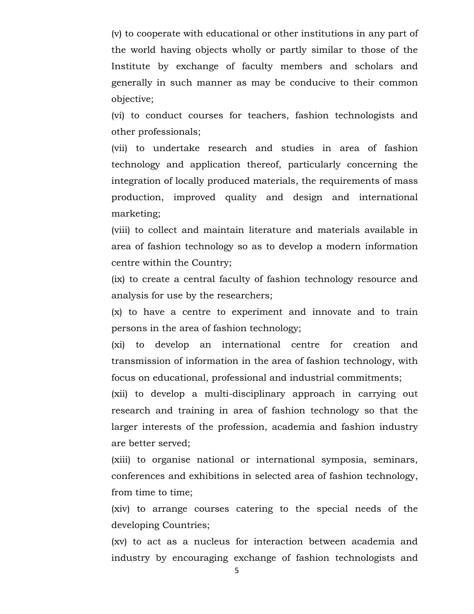(v) to cooperate with educational or other institutions in any part of the world having objects wholly or partly similar to those of the Institute by exchange of faculty members and scholars and generally in such manner as may be conducive to their common objective;

(vi) to conduct courses for teachers, fashion technologists and other professionals;

(vii) to undertake research and studies in area of fashion technology and application thereof, particularly concerning the integration of locally produced materials, the requirements of mass production, improved quality and design and international marketing;

(viii) to collect and maintain literature and materials available in area of fashion technology so as to develop a modern information centre within the Country;

(ix) to create a central faculty of fashion technology resource and analysis for use by the researchers;

(x) to have a centre to experiment and innovate and to train persons in the area of fashion technology;

(xi) to develop an international centre for creation and transmission of information in the area of fashion technology, with focus on educational, professional and industrial commitments;

(xii) to develop a multi-disciplinary approach in carrying out research and training in area of fashion technology so that the larger interests of the profession, academia and fashion industry are better served;

(xiii) to organise national or international symposia, seminars, conferences and exhibitions in selected area of fashion technology, from time to time;

(xiv) to arrange courses catering to the special needs of the developing Countries;

(xv) to act as a nucleus for interaction between academia and industry by encouraging exchange of fashion technologists and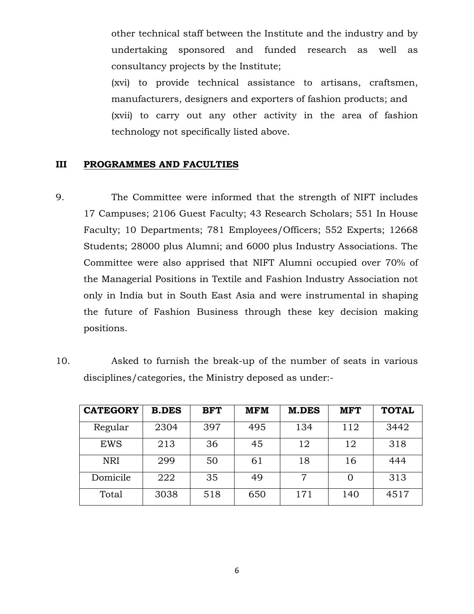other technical staff between the Institute and the industry and by undertaking sponsored and funded research as well as consultancy projects by the Institute;

(xvi) to provide technical assistance to artisans, craftsmen, manufacturers, designers and exporters of fashion products; and (xvii) to carry out any other activity in the area of fashion technology not specifically listed above.

#### **III PROGRAMMES AND FACULTIES**

- 9. The Committee were informed that the strength of NIFT includes 17 Campuses; 2106 Guest Faculty; 43 Research Scholars; 551 In House Faculty; 10 Departments; 781 Employees/Officers; 552 Experts; 12668 Students; 28000 plus Alumni; and 6000 plus Industry Associations. The Committee were also apprised that NIFT Alumni occupied over 70% of the Managerial Positions in Textile and Fashion Industry Association not only in India but in South East Asia and were instrumental in shaping the future of Fashion Business through these key decision making positions.
- 10. Asked to furnish the break-up of the number of seats in various disciplines/categories, the Ministry deposed as under:-

| <b>CATEGORY</b> | <b>B.DES</b> | <b>BFT</b> | <b>MFM</b> | <b>M.DES</b> | <b>MFT</b> | <b>TOTAL</b> |
|-----------------|--------------|------------|------------|--------------|------------|--------------|
| Regular         | 2304         | 397        | 495        | 134          | 112        | 3442         |
| EWS             | 213          | 36         | 45         | 12           | 12         | 318          |
| <b>NRI</b>      | 299          | 50         | 61         | 18           | 16         | 444          |
| Domicile        | 222          | 35         | 49         |              |            | 313          |
| Total           | 3038         | 518        | 650        | 171          | 140        | 4517         |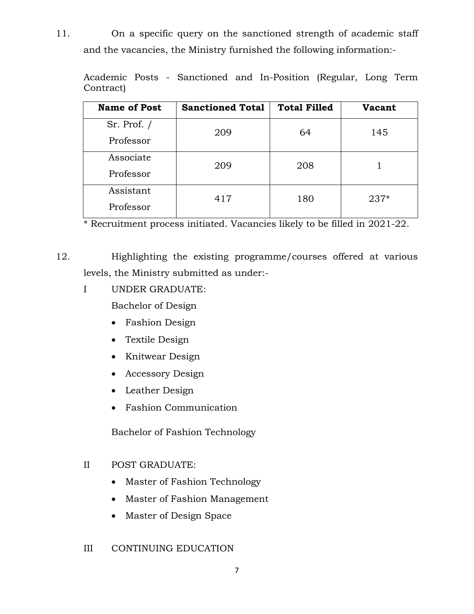11. On a specific query on the sanctioned strength of academic staff and the vacancies, the Ministry furnished the following information:-

|           |  | Academic Posts - Sanctioned and In-Position (Regular, Long Term |  |  |  |
|-----------|--|-----------------------------------------------------------------|--|--|--|
| Contract) |  |                                                                 |  |  |  |

| <b>Name of Post</b> | <b>Sanctioned Total</b> | <b>Total Filled</b> | <b>Vacant</b> |
|---------------------|-------------------------|---------------------|---------------|
| $Sr.$ Prof. $/$     | 209                     | 64                  | 145           |
| Professor           |                         |                     |               |
| Associate           | 209                     | 208                 |               |
| Professor           |                         |                     |               |
| Assistant           | 417                     | 180                 | $237*$        |
| Professor           |                         |                     |               |

\* Recruitment process initiated. Vacancies likely to be filled in 2021-22.

12. Highlighting the existing programme/courses offered at various levels, the Ministry submitted as under:-

I UNDER GRADUATE:

Bachelor of Design

- Fashion Design
- Textile Design
- Knitwear Design
- Accessory Design
- Leather Design
- Fashion Communication

Bachelor of Fashion Technology

#### II POST GRADUATE:

- Master of Fashion Technology
- Master of Fashion Management
- Master of Design Space
- III CONTINUING EDUCATION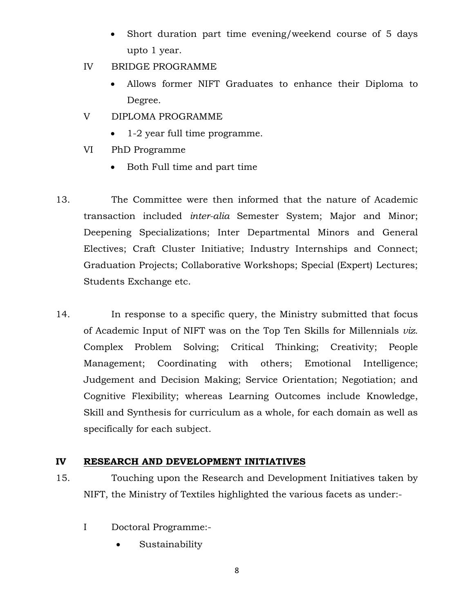- Short duration part time evening/weekend course of 5 days upto 1 year.
- IV BRIDGE PROGRAMME
	- Allows former NIFT Graduates to enhance their Diploma to Degree.
- V DIPLOMA PROGRAMME
	- 1-2 year full time programme.
- VI PhD Programme
	- Both Full time and part time
- 13. The Committee were then informed that the nature of Academic transaction included *inter-alia* Semester System; Major and Minor; Deepening Specializations; Inter Departmental Minors and General Electives; Craft Cluster Initiative; Industry Internships and Connect; Graduation Projects; Collaborative Workshops; Special (Expert) Lectures; Students Exchange etc.
- 14. In response to a specific query, the Ministry submitted that focus of Academic Input of NIFT was on the Top Ten Skills for Millennials *viz.* Complex Problem Solving; Critical Thinking; Creativity; People Management; Coordinating with others; Emotional Intelligence; Judgement and Decision Making; Service Orientation; Negotiation; and Cognitive Flexibility; whereas Learning Outcomes include Knowledge, Skill and Synthesis for curriculum as a whole, for each domain as well as specifically for each subject.

#### **IV RESEARCH AND DEVELOPMENT INITIATIVES**

- 15. Touching upon the Research and Development Initiatives taken by NIFT, the Ministry of Textiles highlighted the various facets as under:-
	- I Doctoral Programme:-
		- Sustainability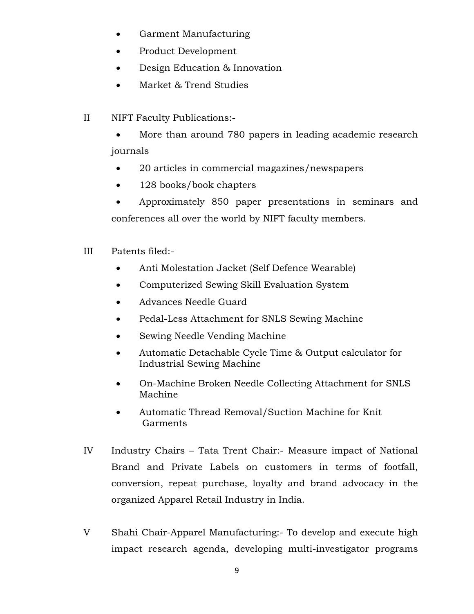- Garment Manufacturing
- Product Development
- Design Education & Innovation
- Market & Trend Studies
- II NIFT Faculty Publications:-

 More than around 780 papers in leading academic research journals

- 20 articles in commercial magazines/newspapers
- 128 books/book chapters

 Approximately 850 paper presentations in seminars and conferences all over the world by NIFT faculty members.

- III Patents filed:-
	- Anti Molestation Jacket (Self Defence Wearable)
	- Computerized Sewing Skill Evaluation System
	- Advances Needle Guard
	- Pedal-Less Attachment for SNLS Sewing Machine
	- Sewing Needle Vending Machine
	- Automatic Detachable Cycle Time & Output calculator for Industrial Sewing Machine
	- On-Machine Broken Needle Collecting Attachment for SNLS Machine
	- Automatic Thread Removal/Suction Machine for Knit Garments
- IV Industry Chairs Tata Trent Chair:- Measure impact of National Brand and Private Labels on customers in terms of footfall, conversion, repeat purchase, loyalty and brand advocacy in the organized Apparel Retail Industry in India.
- V Shahi Chair-Apparel Manufacturing:- To develop and execute high impact research agenda, developing multi-investigator programs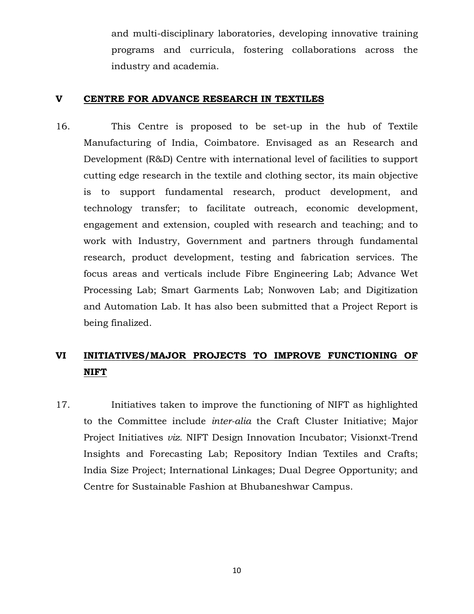and multi-disciplinary laboratories, developing innovative training programs and curricula, fostering collaborations across the industry and academia.

#### **V CENTRE FOR ADVANCE RESEARCH IN TEXTILES**

16. This Centre is proposed to be set-up in the hub of Textile Manufacturing of India, Coimbatore. Envisaged as an Research and Development (R&D) Centre with international level of facilities to support cutting edge research in the textile and clothing sector, its main objective is to support fundamental research, product development, and technology transfer; to facilitate outreach, economic development, engagement and extension, coupled with research and teaching; and to work with Industry, Government and partners through fundamental research, product development, testing and fabrication services. The focus areas and verticals include Fibre Engineering Lab; Advance Wet Processing Lab; Smart Garments Lab; Nonwoven Lab; and Digitization and Automation Lab. It has also been submitted that a Project Report is being finalized.

# **VI INITIATIVES/MAJOR PROJECTS TO IMPROVE FUNCTIONING OF NIFT**

17. Initiatives taken to improve the functioning of NIFT as highlighted to the Committee include *inter-alia* the Craft Cluster Initiative; Major Project Initiatives *viz.* NIFT Design Innovation Incubator; Visionxt-Trend Insights and Forecasting Lab; Repository Indian Textiles and Crafts; India Size Project; International Linkages; Dual Degree Opportunity; and Centre for Sustainable Fashion at Bhubaneshwar Campus.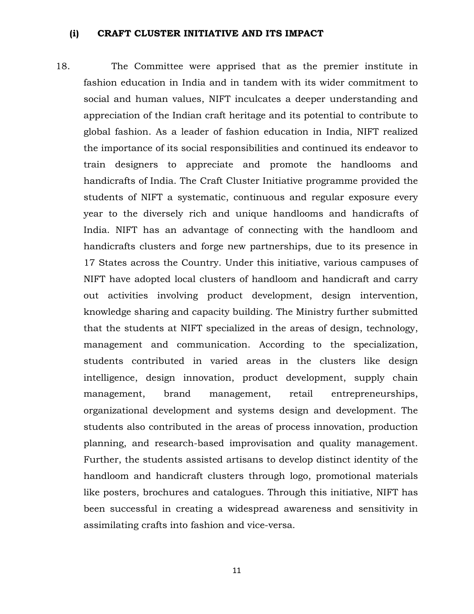#### **(i) CRAFT CLUSTER INITIATIVE AND ITS IMPACT**

18. The Committee were apprised that as the premier institute in fashion education in India and in tandem with its wider commitment to social and human values, NIFT inculcates a deeper understanding and appreciation of the Indian craft heritage and its potential to contribute to global fashion. As a leader of fashion education in India, NIFT realized the importance of its social responsibilities and continued its endeavor to train designers to appreciate and promote the handlooms and handicrafts of India. The Craft Cluster Initiative programme provided the students of NIFT a systematic, continuous and regular exposure every year to the diversely rich and unique handlooms and handicrafts of India. NIFT has an advantage of connecting with the handloom and handicrafts clusters and forge new partnerships, due to its presence in 17 States across the Country. Under this initiative, various campuses of NIFT have adopted local clusters of handloom and handicraft and carry out activities involving product development, design intervention, knowledge sharing and capacity building. The Ministry further submitted that the students at NIFT specialized in the areas of design, technology, management and communication. According to the specialization, students contributed in varied areas in the clusters like design intelligence, design innovation, product development, supply chain management, brand management, retail entrepreneurships, organizational development and systems design and development. The students also contributed in the areas of process innovation, production planning, and research-based improvisation and quality management. Further, the students assisted artisans to develop distinct identity of the handloom and handicraft clusters through logo, promotional materials like posters, brochures and catalogues. Through this initiative, NIFT has been successful in creating a widespread awareness and sensitivity in assimilating crafts into fashion and vice-versa.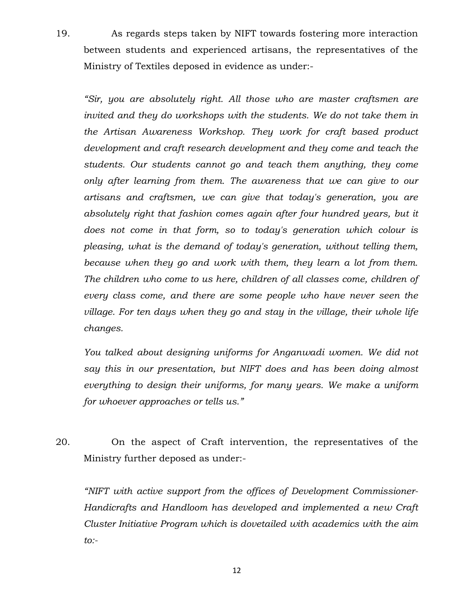19. As regards steps taken by NIFT towards fostering more interaction between students and experienced artisans, the representatives of the Ministry of Textiles deposed in evidence as under:-

*"Sir, you are absolutely right. All those who are master craftsmen are invited and they do workshops with the students. We do not take them in the Artisan Awareness Workshop. They work for craft based product development and craft research development and they come and teach the students. Our students cannot go and teach them anything, they come only after learning from them. The awareness that we can give to our artisans and craftsmen, we can give that today's generation, you are absolutely right that fashion comes again after four hundred years, but it does not come in that form, so to today's generation which colour is pleasing, what is the demand of today's generation, without telling them, because when they go and work with them, they learn a lot from them. The children who come to us here, children of all classes come, children of every class come, and there are some people who have never seen the village. For ten days when they go and stay in the village, their whole life changes.*

*You talked about designing uniforms for Anganwadi women. We did not say this in our presentation, but NIFT does and has been doing almost everything to design their uniforms, for many years. We make a uniform for whoever approaches or tells us."*

20. On the aspect of Craft intervention, the representatives of the Ministry further deposed as under:-

*"NIFT with active support from the offices of Development Commissioner-Handicrafts and Handloom has developed and implemented a new Craft Cluster Initiative Program which is dovetailed with academics with the aim to:-*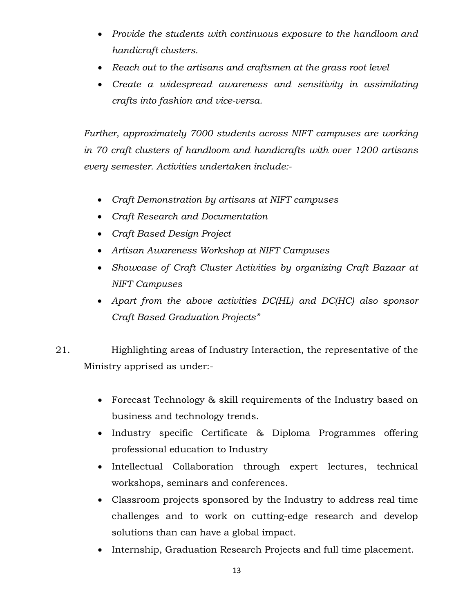- *Provide the students with continuous exposure to the handloom and handicraft clusters.*
- *Reach out to the artisans and craftsmen at the grass root level*
- *Create a widespread awareness and sensitivity in assimilating crafts into fashion and vice-versa.*

*Further, approximately 7000 students across NIFT campuses are working in 70 craft clusters of handloom and handicrafts with over 1200 artisans every semester. Activities undertaken include:-*

- *Craft Demonstration by artisans at NIFT campuses*
- *Craft Research and Documentation*
- *Craft Based Design Project*
- *Artisan Awareness Workshop at NIFT Campuses*
- *Showcase of Craft Cluster Activities by organizing Craft Bazaar at NIFT Campuses*
- *Apart from the above activities DC(HL) and DC(HC) also sponsor Craft Based Graduation Projects"*
- 21. Highlighting areas of Industry Interaction, the representative of the Ministry apprised as under:-
	- Forecast Technology & skill requirements of the Industry based on business and technology trends.
	- Industry specific Certificate & Diploma Programmes offering professional education to Industry
	- $\bullet$  Intellectual Collaboration through expert lectures, technical workshops, seminars and conferences.
	- Classroom projects sponsored by the Industry to address real time challenges and to work on cutting-edge research and develop solutions than can have a global impact.
	- Internship, Graduation Research Projects and full time placement.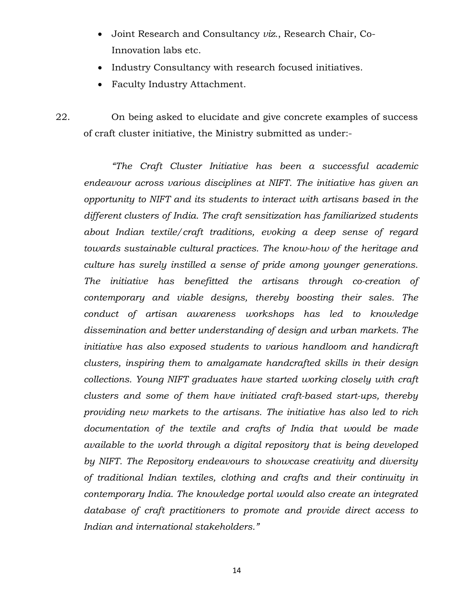- Joint Research and Consultancy *viz.*, Research Chair, Co-Innovation labs etc.
- Industry Consultancy with research focused initiatives.
- Faculty Industry Attachment.

22. On being asked to elucidate and give concrete examples of success of craft cluster initiative, the Ministry submitted as under:-

*"The Craft Cluster Initiative has been a successful academic endeavour across various disciplines at NIFT. The initiative has given an opportunity to NIFT and its students to interact with artisans based in the different clusters of India. The craft sensitization has familiarized students about Indian textile/craft traditions, evoking a deep sense of regard towards sustainable cultural practices. The know-how of the heritage and culture has surely instilled a sense of pride among younger generations. The initiative has benefitted the artisans through co-creation of contemporary and viable designs, thereby boosting their sales. The conduct of artisan awareness workshops has led to knowledge dissemination and better understanding of design and urban markets. The initiative has also exposed students to various handloom and handicraft clusters, inspiring them to amalgamate handcrafted skills in their design collections. Young NIFT graduates have started working closely with craft clusters and some of them have initiated craft-based start-ups, thereby providing new markets to the artisans. The initiative has also led to rich documentation of the textile and crafts of India that would be made available to the world through a digital repository that is being developed by NIFT. The Repository endeavours to showcase creativity and diversity of traditional Indian textiles, clothing and crafts and their continuity in contemporary India. The knowledge portal would also create an integrated database of craft practitioners to promote and provide direct access to Indian and international stakeholders."*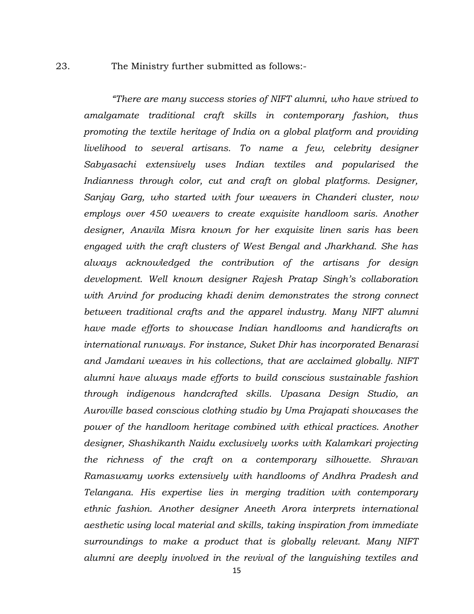#### 23. The Ministry further submitted as follows:-

*"There are many success stories of NIFT alumni, who have strived to amalgamate traditional craft skills in contemporary fashion, thus promoting the textile heritage of India on a global platform and providing livelihood to several artisans. To name a few, celebrity designer Sabyasachi extensively uses Indian textiles and popularised the Indianness through color, cut and craft on global platforms. Designer, Sanjay Garg, who started with four weavers in Chanderi cluster, now employs over 450 weavers to create exquisite handloom saris. Another designer, Anavila Misra known for her exquisite linen saris has been engaged with the craft clusters of West Bengal and Jharkhand. She has always acknowledged the contribution of the artisans for design development. Well known designer Rajesh Pratap Singh's collaboration with Arvind for producing khadi denim demonstrates the strong connect between traditional crafts and the apparel industry. Many NIFT alumni have made efforts to showcase Indian handlooms and handicrafts on international runways. For instance, Suket Dhir has incorporated Benarasi and Jamdani weaves in his collections, that are acclaimed globally. NIFT alumni have always made efforts to build conscious sustainable fashion through indigenous handcrafted skills. Upasana Design Studio, an Auroville based conscious clothing studio by Uma Prajapati showcases the power of the handloom heritage combined with ethical practices. Another designer, Shashikanth Naidu exclusively works with Kalamkari projecting the richness of the craft on a contemporary silhouette. Shravan Ramaswamy works extensively with handlooms of Andhra Pradesh and Telangana. His expertise lies in merging tradition with contemporary ethnic fashion. Another designer Aneeth Arora interprets international aesthetic using local material and skills, taking inspiration from immediate surroundings to make a product that is globally relevant. Many NIFT alumni are deeply involved in the revival of the languishing textiles and*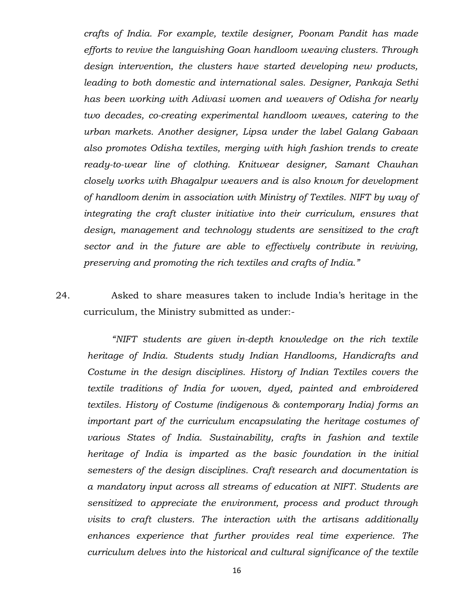*crafts of India. For example, textile designer, Poonam Pandit has made efforts to revive the languishing Goan handloom weaving clusters. Through design intervention, the clusters have started developing new products, leading to both domestic and international sales. Designer, Pankaja Sethi has been working with Adivasi women and weavers of Odisha for nearly two decades, co-creating experimental handloom weaves, catering to the urban markets. Another designer, Lipsa under the label Galang Gabaan also promotes Odisha textiles, merging with high fashion trends to create ready-to-wear line of clothing. Knitwear designer, Samant Chauhan closely works with Bhagalpur weavers and is also known for development of handloom denim in association with Ministry of Textiles. NIFT by way of integrating the craft cluster initiative into their curriculum, ensures that design, management and technology students are sensitized to the craft sector and in the future are able to effectively contribute in reviving, preserving and promoting the rich textiles and crafts of India."*

24. Asked to share measures taken to include India's heritage in the curriculum, the Ministry submitted as under:-

*"NIFT students are given in-depth knowledge on the rich textile heritage of India. Students study Indian Handlooms, Handicrafts and Costume in the design disciplines. History of Indian Textiles covers the textile traditions of India for woven, dyed, painted and embroidered textiles. History of Costume (indigenous & contemporary India) forms an important part of the curriculum encapsulating the heritage costumes of various States of India. Sustainability, crafts in fashion and textile heritage of India is imparted as the basic foundation in the initial semesters of the design disciplines. Craft research and documentation is a mandatory input across all streams of education at NIFT. Students are sensitized to appreciate the environment, process and product through visits to craft clusters. The interaction with the artisans additionally enhances experience that further provides real time experience. The curriculum delves into the historical and cultural significance of the textile*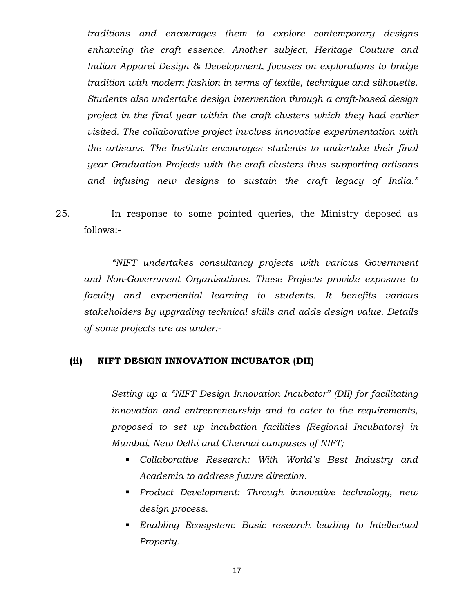*traditions and encourages them to explore contemporary designs enhancing the craft essence. Another subject, Heritage Couture and Indian Apparel Design & Development, focuses on explorations to bridge tradition with modern fashion in terms of textile, technique and silhouette. Students also undertake design intervention through a craft-based design project in the final year within the craft clusters which they had earlier visited. The collaborative project involves innovative experimentation with the artisans. The Institute encourages students to undertake their final year Graduation Projects with the craft clusters thus supporting artisans and infusing new designs to sustain the craft legacy of India."*

25. In response to some pointed queries, the Ministry deposed as follows:-

*"NIFT undertakes consultancy projects with various Government and Non-Government Organisations. These Projects provide exposure to faculty and experiential learning to students. It benefits various stakeholders by upgrading technical skills and adds design value. Details of some projects are as under:-*

#### **(ii) NIFT DESIGN INNOVATION INCUBATOR (DII)**

*Setting up a "NIFT Design Innovation Incubator" (DII) for facilitating innovation and entrepreneurship and to cater to the requirements, proposed to set up incubation facilities (Regional Incubators) in Mumbai, New Delhi and Chennai campuses of NIFT;*

- *Collaborative Research: With World's Best Industry and Academia to address future direction.*
- *Product Development: Through innovative technology, new design process.*
- *Enabling Ecosystem: Basic research leading to Intellectual Property.*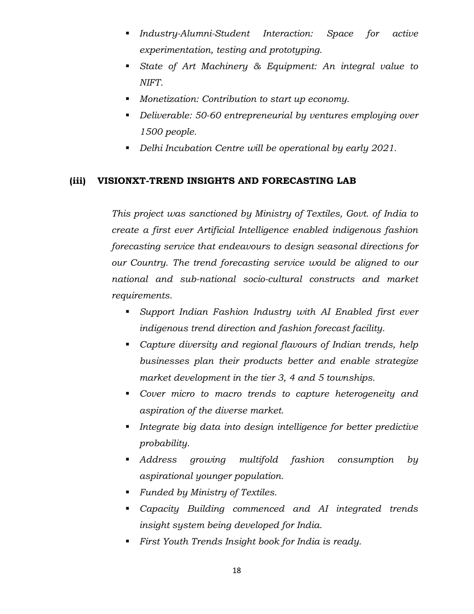- *Industry-Alumni-Student Interaction: Space for active experimentation, testing and prototyping.*
- *State of Art Machinery & Equipment: An integral value to NIFT.*
- *Monetization: Contribution to start up economy.*
- *Deliverable: 50-60 entrepreneurial by ventures employing over 1500 people.*
- *Delhi Incubation Centre will be operational by early 2021.*

#### **(iii) VISIONXT-TREND INSIGHTS AND FORECASTING LAB**

*This project was sanctioned by Ministry of Textiles, Govt. of India to create a first ever Artificial Intelligence enabled indigenous fashion forecasting service that endeavours to design seasonal directions for our Country. The trend forecasting service would be aligned to our national and sub-national socio-cultural constructs and market requirements.*

- *Support Indian Fashion Industry with AI Enabled first ever indigenous trend direction and fashion forecast facility.*
- *Capture diversity and regional flavours of Indian trends, help businesses plan their products better and enable strategize market development in the tier 3, 4 and 5 townships.*
- *Cover micro to macro trends to capture heterogeneity and aspiration of the diverse market.*
- *Integrate big data into design intelligence for better predictive probability.*
- *Address growing multifold fashion consumption by aspirational younger population.*
- *Funded by Ministry of Textiles.*
- *Capacity Building commenced and AI integrated trends insight system being developed for India.*
- *First Youth Trends Insight book for India is ready.*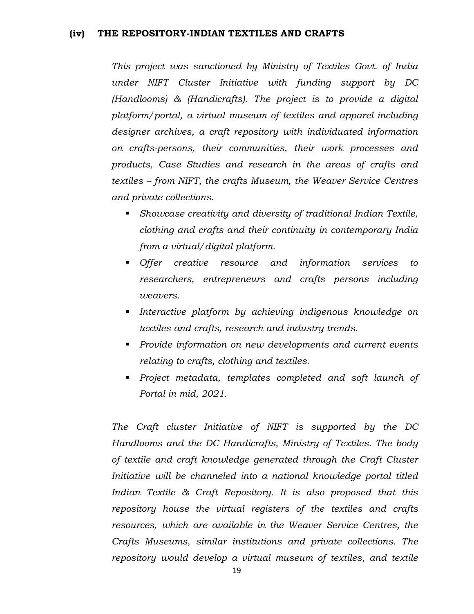#### **(iv) THE REPOSITORY-INDIAN TEXTILES AND CRAFTS**

*This project was sanctioned by Ministry of Textiles Govt. of India under NIFT Cluster Initiative with funding support by DC (Handlooms) & (Handicrafts). The project is to provide a digital platform/portal, a virtual museum of textiles and apparel including designer archives, a craft repository with individuated information on crafts-persons, their communities, their work processes and products, Case Studies and research in the areas of crafts and textiles – from NIFT, the crafts Museum, the Weaver Service Centres and private collections.* 

- *Showcase creativity and diversity of traditional Indian Textile, clothing and crafts and their continuity in contemporary India from a virtual/digital platform.*
- *Offer creative resource and information services to researchers, entrepreneurs and crafts persons including weavers.*
- *Interactive platform by achieving indigenous knowledge on textiles and crafts, research and industry trends.*
- *Provide information on new developments and current events relating to crafts, clothing and textiles.*
- *Project metadata, templates completed and soft launch of Portal in mid, 2021.*

*The Craft cluster Initiative of NIFT is supported by the DC Handlooms and the DC Handicrafts, Ministry of Textiles. The body of textile and craft knowledge generated through the Craft Cluster Initiative will be channeled into a national knowledge portal titled Indian Textile & Craft Repository. It is also proposed that this repository house the virtual registers of the textiles and crafts resources, which are available in the Weaver Service Centres, the Crafts Museums, similar institutions and private collections. The repository would develop a virtual museum of textiles, and textile*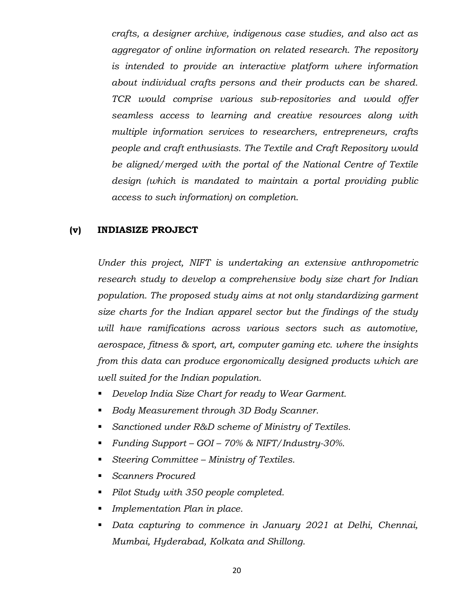*crafts, a designer archive, indigenous case studies, and also act as aggregator of online information on related research. The repository is intended to provide an interactive platform where information about individual crafts persons and their products can be shared. TCR would comprise various sub-repositories and would offer seamless access to learning and creative resources along with multiple information services to researchers, entrepreneurs, crafts people and craft enthusiasts. The Textile and Craft Repository would be aligned/merged with the portal of the National Centre of Textile design (which is mandated to maintain a portal providing public access to such information) on completion.*

#### **(v) INDIASIZE PROJECT**

*Under this project, NIFT is undertaking an extensive anthropometric research study to develop a comprehensive body size chart for Indian population. The proposed study aims at not only standardizing garment size charts for the Indian apparel sector but the findings of the study will have ramifications across various sectors such as automotive, aerospace, fitness & sport, art, computer gaming etc. where the insights from this data can produce ergonomically designed products which are well suited for the Indian population.*

- *Develop India Size Chart for ready to Wear Garment.*
- *Body Measurement through 3D Body Scanner.*
- *Sanctioned under R&D scheme of Ministry of Textiles.*
- *Funding Support – GOI – 70% & NIFT/Industry-30%.*
- *Steering Committee – Ministry of Textiles.*
- *Scanners Procured*
- *Pilot Study with 350 people completed.*
- *Implementation Plan in place.*
- *Data capturing to commence in January 2021 at Delhi, Chennai, Mumbai, Hyderabad, Kolkata and Shillong.*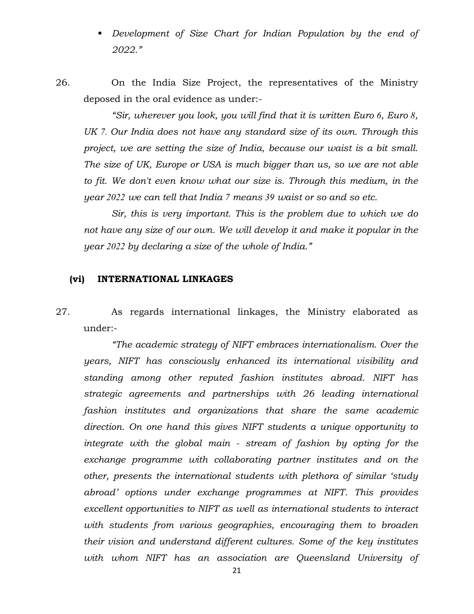- **•** Development of Size Chart for Indian Population by the end of *2022."*
- 26. On the India Size Project, the representatives of the Ministry deposed in the oral evidence as under:-

*"Sir, wherever you look, you will find that it is written Euro 6, Euro 8, UK 7. Our India does not have any standard size of its own. Through this project, we are setting the size of India, because our waist is a bit small. The size of UK, Europe or USA is much bigger than us, so we are not able to fit. We don't even know what our size is. Through this medium, in the year 2022 we can tell that India 7 means 39 waist or so and so etc.*

*Sir, this is very important. This is the problem due to which we do not have any size of our own. We will develop it and make it popular in the year 2022 by declaring a size of the whole of India."*

#### **(vi) INTERNATIONAL LINKAGES**

27. As regards international linkages, the Ministry elaborated as under:-

*"The academic strategy of NIFT embraces internationalism. Over the years, NIFT has consciously enhanced its international visibility and standing among other reputed fashion institutes abroad. NIFT has strategic agreements and partnerships with 26 leading international fashion institutes and organizations that share the same academic direction. On one hand this gives NIFT students a unique opportunity to integrate with the global main - stream of fashion by opting for the exchange programme with collaborating partner institutes and on the other, presents the international students with plethora of similar 'study abroad' options under exchange programmes at NIFT. This provides excellent opportunities to NIFT as well as international students to interact with students from various geographies, encouraging them to broaden their vision and understand different cultures. Some of the key institutes with whom NIFT has an association are Queensland University of*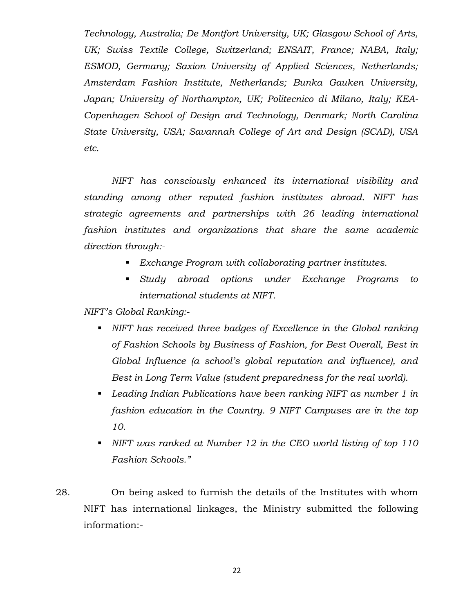*Technology, Australia; De Montfort University, UK; Glasgow School of Arts, UK; Swiss Textile College, Switzerland; ENSAIT, France; NABA, Italy; ESMOD, Germany; Saxion University of Applied Sciences, Netherlands; Amsterdam Fashion Institute, Netherlands; Bunka Gauken University, Japan; University of Northampton, UK; Politecnico di Milano, Italy; KEA-Copenhagen School of Design and Technology, Denmark; North Carolina State University, USA; Savannah College of Art and Design (SCAD), USA etc.*

*NIFT has consciously enhanced its international visibility and standing among other reputed fashion institutes abroad. NIFT has strategic agreements and partnerships with 26 leading international fashion institutes and organizations that share the same academic direction through:-*

- *Exchange Program with collaborating partner institutes.*
- *Study abroad options under Exchange Programs to international students at NIFT.*

*NIFT's Global Ranking:-*

- *NIFT has received three badges of Excellence in the Global ranking of Fashion Schools by Business of Fashion, for Best Overall, Best in Global Influence (a school's global reputation and influence), and Best in Long Term Value (student preparedness for the real world).*
- *Leading Indian Publications have been ranking NIFT as number 1 in fashion education in the Country. 9 NIFT Campuses are in the top 10.*
- *NIFT was ranked at Number 12 in the CEO world listing of top 110 Fashion Schools."*
- 28. On being asked to furnish the details of the Institutes with whom NIFT has international linkages, the Ministry submitted the following information:-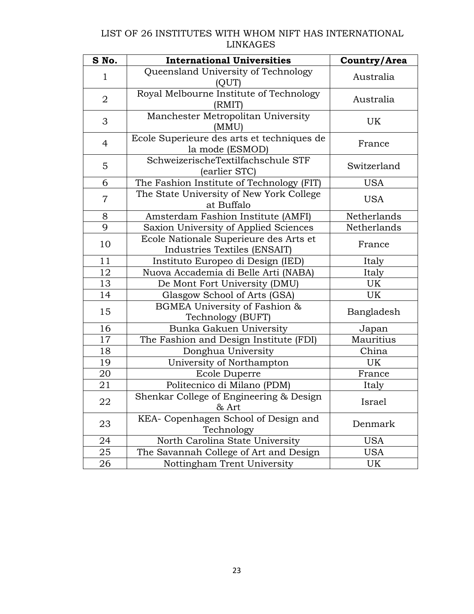#### LIST OF 26 INSTITUTES WITH WHOM NIFT HAS INTERNATIONAL LINKAGES

| S No.          | <b>International Universities</b>                                      | Country/Area |
|----------------|------------------------------------------------------------------------|--------------|
| 1              | Queensland University of Technology<br>(OUT)                           | Australia    |
| $\overline{2}$ | Royal Melbourne Institute of Technology<br>(RMIT)                      | Australia    |
| 3              | Manchester Metropolitan University<br>(MMU)                            | UK           |
| $\overline{4}$ | Ecole Superieure des arts et techniques de<br>la mode (ESMOD)          | France       |
| 5              | SchweizerischeTextilfachschule STF<br>(earlier STC)                    | Switzerland  |
| 6              | The Fashion Institute of Technology (FIT)                              | <b>USA</b>   |
| $\overline{7}$ | The State University of New York College<br>at Buffalo                 | <b>USA</b>   |
| 8              | Amsterdam Fashion Institute (AMFI)                                     | Netherlands  |
| 9              | Saxion University of Applied Sciences                                  | Netherlands  |
| 10             | Ecole Nationale Superieure des Arts et<br>Industries Textiles (ENSAIT) | France       |
| 11             | Instituto Europeo di Design (IED)                                      | Italy        |
| 12             | Nuova Accademia di Belle Arti (NABA)                                   | Italy        |
| 13             | De Mont Fort University (DMU)                                          | UK           |
| 14             | Glasgow School of Arts (GSA)                                           | UK           |
| 15             | BGMEA University of Fashion &<br>Technology (BUFT)                     | Bangladesh   |
| 16             | Bunka Gakuen University                                                | Japan        |
| 17             | The Fashion and Design Institute (FDI)                                 | Mauritius    |
| 18             | Donghua University                                                     | China        |
| 19             | University of Northampton                                              | UK           |
| 20             | Ecole Duperre                                                          | France       |
| 21             | Politecnico di Milano (PDM)                                            | Italy        |
| 22             | Shenkar College of Engineering & Design<br>& Art                       | Israel       |
| 23             | KEA- Copenhagen School of Design and<br>Technology                     | Denmark      |
| 24             | North Carolina State University                                        | <b>USA</b>   |
| 25             | The Savannah College of Art and Design                                 | USA          |
| 26             | Nottingham Trent University                                            | UK           |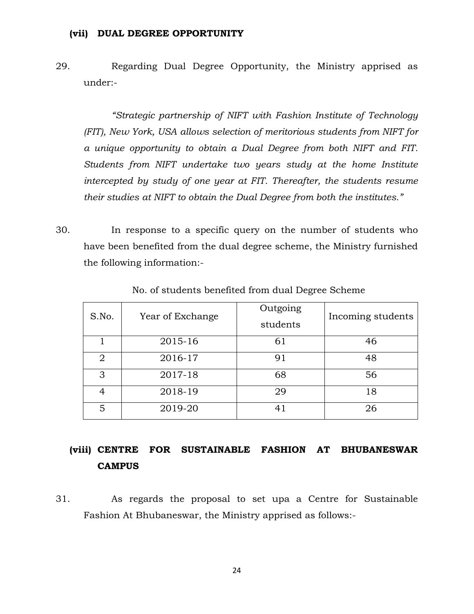#### **(vii) DUAL DEGREE OPPORTUNITY**

29. Regarding Dual Degree Opportunity, the Ministry apprised as under:-

*"Strategic partnership of NIFT with Fashion Institute of Technology (FIT), New York, USA allows selection of meritorious students from NIFT for a unique opportunity to obtain a Dual Degree from both NIFT and FIT. Students from NIFT undertake two years study at the home Institute intercepted by study of one year at FIT. Thereafter, the students resume their studies at NIFT to obtain the Dual Degree from both the institutes."*

30. In response to a specific query on the number of students who have been benefited from the dual degree scheme, the Ministry furnished the following information:-

| S.No.          | Year of Exchange | Outgoing<br>students | Incoming students |
|----------------|------------------|----------------------|-------------------|
|                | 2015-16          | 61                   | 46                |
| $\overline{2}$ | 2016-17          | 91                   | 48                |
| 3              | 2017-18          | 68                   | 56                |
| 4              | 2018-19          | 29                   | 18                |
| 5              | 2019-20          | 41                   | 26                |

No. of students benefited from dual Degree Scheme

# **(viii) CENTRE FOR SUSTAINABLE FASHION AT BHUBANESWAR CAMPUS**

31. As regards the proposal to set upa a Centre for Sustainable Fashion At Bhubaneswar, the Ministry apprised as follows:-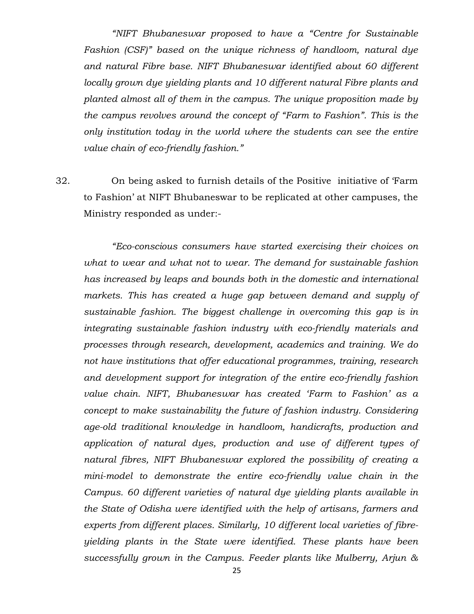*"NIFT Bhubaneswar proposed to have a "Centre for Sustainable Fashion (CSF)" based on the unique richness of handloom, natural dye and natural Fibre base. NIFT Bhubaneswar identified about 60 different locally grown dye yielding plants and 10 different natural Fibre plants and planted almost all of them in the campus. The unique proposition made by the campus revolves around the concept of "Farm to Fashion". This is the only institution today in the world where the students can see the entire value chain of eco-friendly fashion."*

32. On being asked to furnish details of the Positive initiative of 'Farm to Fashion' at NIFT Bhubaneswar to be replicated at other campuses, the Ministry responded as under:-

*"Eco-conscious consumers have started exercising their choices on what to wear and what not to wear. The demand for sustainable fashion has increased by leaps and bounds both in the domestic and international markets. This has created a huge gap between demand and supply of sustainable fashion. The biggest challenge in overcoming this gap is in integrating sustainable fashion industry with eco-friendly materials and processes through research, development, academics and training. We do not have institutions that offer educational programmes, training, research and development support for integration of the entire eco-friendly fashion value chain. NIFT, Bhubaneswar has created 'Farm to Fashion' as a concept to make sustainability the future of fashion industry. Considering age-old traditional knowledge in handloom, handicrafts, production and application of natural dyes, production and use of different types of natural fibres, NIFT Bhubaneswar explored the possibility of creating a mini-model to demonstrate the entire eco-friendly value chain in the Campus. 60 different varieties of natural dye yielding plants available in the State of Odisha were identified with the help of artisans, farmers and experts from different places. Similarly, 10 different local varieties of fibreyielding plants in the State were identified. These plants have been successfully grown in the Campus. Feeder plants like Mulberry, Arjun &*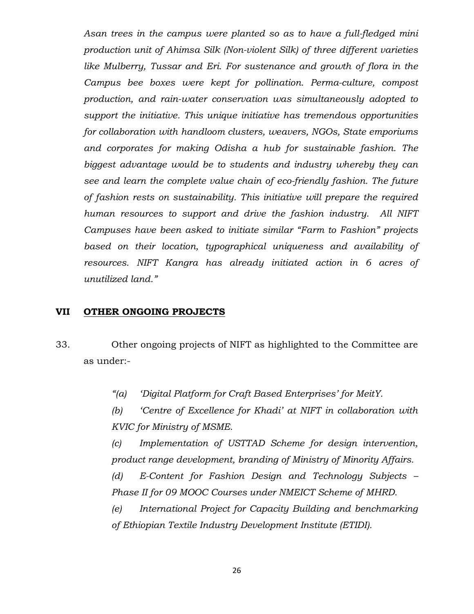*Asan trees in the campus were planted so as to have a full-fledged mini production unit of Ahimsa Silk (Non-violent Silk) of three different varieties like Mulberry, Tussar and Eri. For sustenance and growth of flora in the Campus bee boxes were kept for pollination. Perma-culture, compost production, and rain-water conservation was simultaneously adopted to support the initiative. This unique initiative has tremendous opportunities for collaboration with handloom clusters, weavers, NGOs, State emporiums and corporates for making Odisha a hub for sustainable fashion. The biggest advantage would be to students and industry whereby they can see and learn the complete value chain of eco-friendly fashion. The future of fashion rests on sustainability. This initiative will prepare the required human resources to support and drive the fashion industry. All NIFT Campuses have been asked to initiate similar "Farm to Fashion" projects based on their location, typographical uniqueness and availability of resources. NIFT Kangra has already initiated action in 6 acres of unutilized land."*

#### **VII OTHER ONGOING PROJECTS**

- 33. Other ongoing projects of NIFT as highlighted to the Committee are as under:-
	- *"(a) 'Digital Platform for Craft Based Enterprises' for MeitY.*

*(b) 'Centre of Excellence for Khadi' at NIFT in collaboration with KVIC for Ministry of MSME.*

*(c) Implementation of USTTAD Scheme for design intervention, product range development, branding of Ministry of Minority Affairs.*

*(d) E-Content for Fashion Design and Technology Subjects – Phase II for 09 MOOC Courses under NMEICT Scheme of MHRD.*

*(e) International Project for Capacity Building and benchmarking of Ethiopian Textile Industry Development Institute (ETIDI).*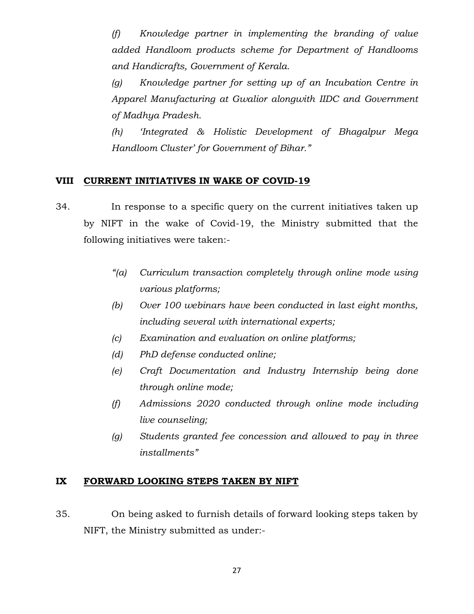*(f) Knowledge partner in implementing the branding of value added Handloom products scheme for Department of Handlooms and Handicrafts, Government of Kerala.*

*(g) Knowledge partner for setting up of an Incubation Centre in Apparel Manufacturing at Gwalior alongwith IIDC and Government of Madhya Pradesh.*

*(h) 'Integrated & Holistic Development of Bhagalpur Mega Handloom Cluster' for Government of Bihar."*

#### **VIII CURRENT INITIATIVES IN WAKE OF COVID-19**

- 34. In response to a specific query on the current initiatives taken up by NIFT in the wake of Covid-19, the Ministry submitted that the following initiatives were taken:-
	- *"(a) Curriculum transaction completely through online mode using various platforms;*
	- *(b) Over 100 webinars have been conducted in last eight months, including several with international experts;*
	- *(c) Examination and evaluation on online platforms;*
	- *(d) PhD defense conducted online;*
	- *(e) Craft Documentation and Industry Internship being done through online mode;*
	- *(f) Admissions 2020 conducted through online mode including live counseling;*
	- *(g) Students granted fee concession and allowed to pay in three installments"*

#### **IX FORWARD LOOKING STEPS TAKEN BY NIFT**

35. On being asked to furnish details of forward looking steps taken by NIFT, the Ministry submitted as under:-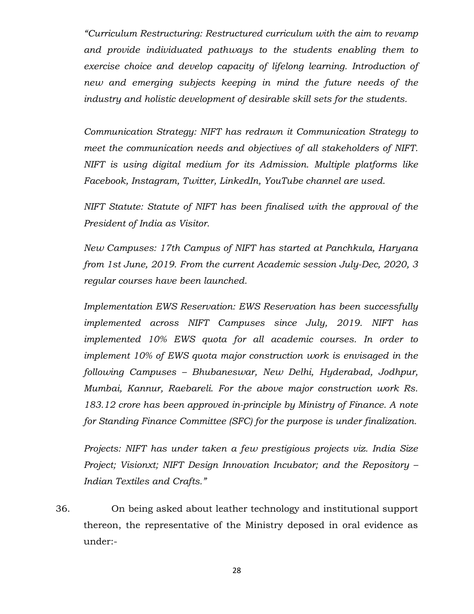*"Curriculum Restructuring: Restructured curriculum with the aim to revamp and provide individuated pathways to the students enabling them to exercise choice and develop capacity of lifelong learning. Introduction of new and emerging subjects keeping in mind the future needs of the industry and holistic development of desirable skill sets for the students.* 

*Communication Strategy: NIFT has redrawn it Communication Strategy to meet the communication needs and objectives of all stakeholders of NIFT. NIFT is using digital medium for its Admission. Multiple platforms like Facebook, Instagram, Twitter, LinkedIn, YouTube channel are used.* 

*NIFT Statute: Statute of NIFT has been finalised with the approval of the President of India as Visitor.*

*New Campuses: 17th Campus of NIFT has started at Panchkula, Haryana from 1st June, 2019. From the current Academic session July-Dec, 2020, 3 regular courses have been launched.*

*Implementation EWS Reservation: EWS Reservation has been successfully implemented across NIFT Campuses since July, 2019. NIFT has implemented 10% EWS quota for all academic courses. In order to implement 10% of EWS quota major construction work is envisaged in the following Campuses – Bhubaneswar, New Delhi, Hyderabad, Jodhpur, Mumbai, Kannur, Raebareli. For the above major construction work Rs. 183.12 crore has been approved in-principle by Ministry of Finance. A note for Standing Finance Committee (SFC) for the purpose is under finalization.*

*Projects: NIFT has under taken a few prestigious projects viz. India Size Project; Visionxt; NIFT Design Innovation Incubator; and the Repository – Indian Textiles and Crafts."*

36. On being asked about leather technology and institutional support thereon, the representative of the Ministry deposed in oral evidence as under:-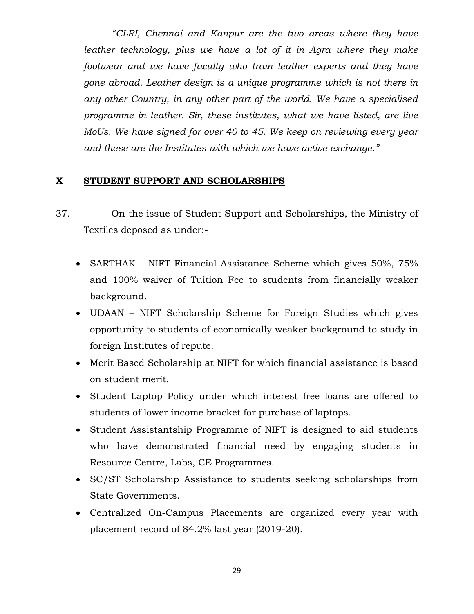*"CLRI, Chennai and Kanpur are the two areas where they have leather technology, plus we have a lot of it in Agra where they make footwear and we have faculty who train leather experts and they have gone abroad. Leather design is a unique programme which is not there in any other Country, in any other part of the world. We have a specialised programme in leather. Sir, these institutes, what we have listed, are live MoUs. We have signed for over 40 to 45. We keep on reviewing every year and these are the Institutes with which we have active exchange."*

#### **X STUDENT SUPPORT AND SCHOLARSHIPS**

- 37. On the issue of Student Support and Scholarships, the Ministry of Textiles deposed as under:-
	- SARTHAK NIFT Financial Assistance Scheme which gives 50%, 75% and 100% waiver of Tuition Fee to students from financially weaker background.
	- UDAAN NIFT Scholarship Scheme for Foreign Studies which gives opportunity to students of economically weaker background to study in foreign Institutes of repute.
	- Merit Based Scholarship at NIFT for which financial assistance is based on student merit.
	- Student Laptop Policy under which interest free loans are offered to students of lower income bracket for purchase of laptops.
	- Student Assistantship Programme of NIFT is designed to aid students who have demonstrated financial need by engaging students in Resource Centre, Labs, CE Programmes.
	- SC/ST Scholarship Assistance to students seeking scholarships from State Governments.
	- Centralized On-Campus Placements are organized every year with placement record of 84.2% last year (2019-20).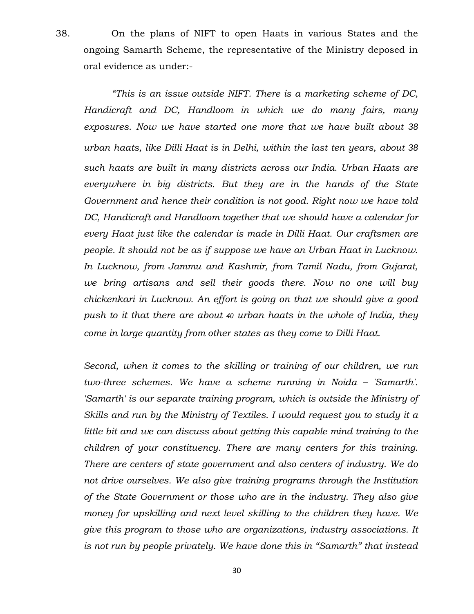38. On the plans of NIFT to open Haats in various States and the ongoing Samarth Scheme, the representative of the Ministry deposed in oral evidence as under:-

*"This is an issue outside NIFT. There is a marketing scheme of DC, Handicraft and DC, Handloom in which we do many fairs, many exposures. Now we have started one more that we have built about 38 urban haats, like Dilli Haat is in Delhi, within the last ten years, about 38 such haats are built in many districts across our India. Urban Haats are everywhere in big districts. But they are in the hands of the State Government and hence their condition is not good. Right now we have told DC, Handicraft and Handloom together that we should have a calendar for every Haat just like the calendar is made in Dilli Haat. Our craftsmen are people. It should not be as if suppose we have an Urban Haat in Lucknow. In Lucknow, from Jammu and Kashmir, from Tamil Nadu, from Gujarat, we bring artisans and sell their goods there. Now no one will buy chickenkari in Lucknow. An effort is going on that we should give a good push to it that there are about 40 urban haats in the whole of India, they come in large quantity from other states as they come to Dilli Haat.*

*Second, when it comes to the skilling or training of our children, we run two-three schemes. We have a scheme running in Noida – 'Samarth'. 'Samarth' is our separate training program, which is outside the Ministry of Skills and run by the Ministry of Textiles. I would request you to study it a little bit and we can discuss about getting this capable mind training to the children of your constituency. There are many centers for this training. There are centers of state government and also centers of industry. We do not drive ourselves. We also give training programs through the Institution of the State Government or those who are in the industry. They also give money for upskilling and next level skilling to the children they have. We give this program to those who are organizations, industry associations. It is not run by people privately. We have done this in "Samarth" that instead*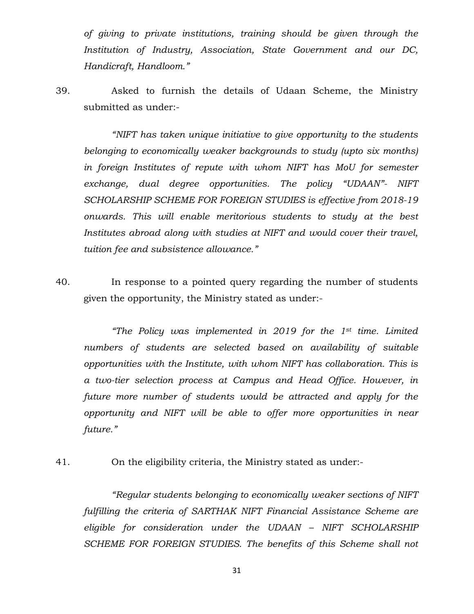*of giving to private institutions, training should be given through the Institution of Industry, Association, State Government and our DC, Handicraft, Handloom."*

39. Asked to furnish the details of Udaan Scheme, the Ministry submitted as under:-

*"NIFT has taken unique initiative to give opportunity to the students belonging to economically weaker backgrounds to study (upto six months) in foreign Institutes of repute with whom NIFT has MoU for semester exchange, dual degree opportunities. The policy "UDAAN"- NIFT SCHOLARSHIP SCHEME FOR FOREIGN STUDIES is effective from 2018-19 onwards. This will enable meritorious students to study at the best Institutes abroad along with studies at NIFT and would cover their travel, tuition fee and subsistence allowance."*

40. In response to a pointed query regarding the number of students given the opportunity, the Ministry stated as under:-

*"The Policy was implemented in 2019 for the 1st time. Limited numbers of students are selected based on availability of suitable opportunities with the Institute, with whom NIFT has collaboration. This is a two-tier selection process at Campus and Head Office. However, in future more number of students would be attracted and apply for the opportunity and NIFT will be able to offer more opportunities in near future."*

41. On the eligibility criteria, the Ministry stated as under:-

*"Regular students belonging to economically weaker sections of NIFT fulfilling the criteria of SARTHAK NIFT Financial Assistance Scheme are eligible for consideration under the UDAAN – NIFT SCHOLARSHIP SCHEME FOR FOREIGN STUDIES. The benefits of this Scheme shall not*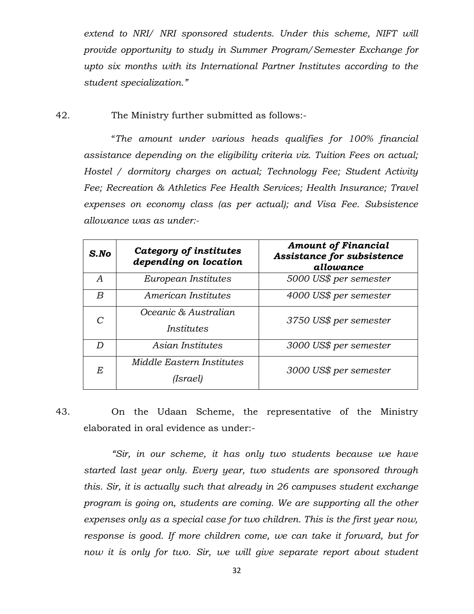*extend to NRI/ NRI sponsored students. Under this scheme, NIFT will provide opportunity to study in Summer Program/Semester Exchange for upto six months with its International Partner Institutes according to the student specialization."*

42. The Ministry further submitted as follows:-

"*The amount under various heads qualifies for 100% financial assistance depending on the eligibility criteria viz. Tuition Fees on actual; Hostel / dormitory charges on actual; Technology Fee; Student Activity Fee; Recreation & Athletics Fee Health Services; Health Insurance; Travel expenses on economy class (as per actual); and Visa Fee. Subsistence allowance was as under:-*

| $S$ .No      | Category of institutes<br>depending on location | <b>Amount of Financial</b><br>Assistance for subsistence<br>allowance |
|--------------|-------------------------------------------------|-----------------------------------------------------------------------|
| A            | European Institutes                             | 5000 US\$ per semester                                                |
| B            | American Institutes                             | 4000 US\$ per semester                                                |
| $\mathcal C$ | Oceanic & Australian<br>Institutes              | 3750 US\$ per semester                                                |
| D            | Asian Institutes                                | 3000 US\$ per semester                                                |
| Е            | Middle Eastern Institutes<br>(Israel)           | 3000 US\$ per semester                                                |

43. On the Udaan Scheme, the representative of the Ministry elaborated in oral evidence as under:-

*"Sir, in our scheme, it has only two students because we have started last year only. Every year, two students are sponsored through this. Sir, it is actually such that already in 26 campuses student exchange program is going on, students are coming. We are supporting all the other expenses only as a special case for two children. This is the first year now, response is good. If more children come, we can take it forward, but for now it is only for two. Sir, we will give separate report about student*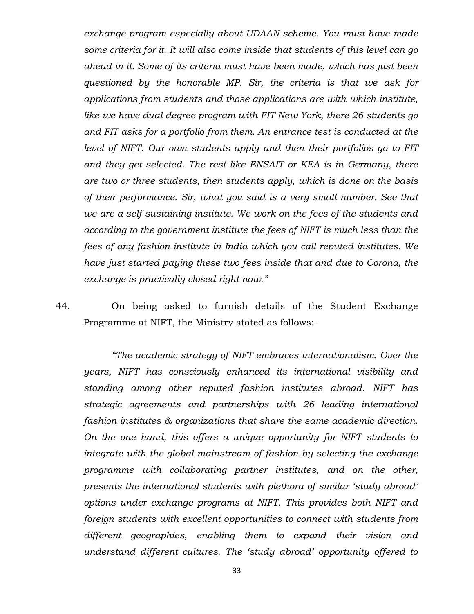*exchange program especially about UDAAN scheme. You must have made some criteria for it. It will also come inside that students of this level can go ahead in it. Some of its criteria must have been made, which has just been questioned by the honorable MP. Sir, the criteria is that we ask for applications from students and those applications are with which institute, like we have dual degree program with FIT New York, there 26 students go and FIT asks for a portfolio from them. An entrance test is conducted at the level of NIFT. Our own students apply and then their portfolios go to FIT and they get selected. The rest like ENSAIT or KEA is in Germany, there are two or three students, then students apply, which is done on the basis of their performance. Sir, what you said is a very small number. See that we are a self sustaining institute. We work on the fees of the students and according to the government institute the fees of NIFT is much less than the fees of any fashion institute in India which you call reputed institutes. We have just started paying these two fees inside that and due to Corona, the exchange is practically closed right now."*

44. On being asked to furnish details of the Student Exchange Programme at NIFT, the Ministry stated as follows:-

*"The academic strategy of NIFT embraces internationalism. Over the years, NIFT has consciously enhanced its international visibility and standing among other reputed fashion institutes abroad. NIFT has strategic agreements and partnerships with 26 leading international fashion institutes & organizations that share the same academic direction. On the one hand, this offers a unique opportunity for NIFT students to integrate with the global mainstream of fashion by selecting the exchange programme with collaborating partner institutes, and on the other, presents the international students with plethora of similar 'study abroad' options under exchange programs at NIFT. This provides both NIFT and foreign students with excellent opportunities to connect with students from different geographies, enabling them to expand their vision and understand different cultures. The 'study abroad' opportunity offered to*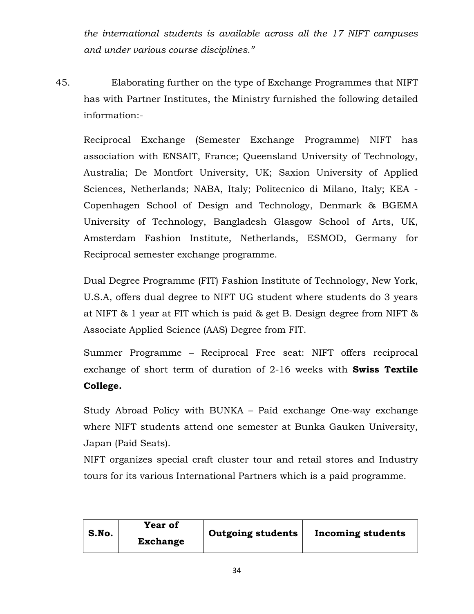*the international students is available across all the 17 NIFT campuses and under various course disciplines."*

45. Elaborating further on the type of Exchange Programmes that NIFT has with Partner Institutes, the Ministry furnished the following detailed information:-

Reciprocal Exchange (Semester Exchange Programme) NIFT has association with ENSAIT, France; Queensland University of Technology, Australia; De Montfort University, UK; Saxion University of Applied Sciences, Netherlands; NABA, Italy; Politecnico di Milano, Italy; KEA - Copenhagen School of Design and Technology, Denmark & BGEMA University of Technology, Bangladesh Glasgow School of Arts, UK, Amsterdam Fashion Institute, Netherlands, ESMOD, Germany for Reciprocal semester exchange programme.

Dual Degree Programme (FIT) Fashion Institute of Technology, New York, U.S.A, offers dual degree to NIFT UG student where students do 3 years at NIFT & 1 year at FIT which is paid & get B. Design degree from NIFT & Associate Applied Science (AAS) Degree from FIT.

Summer Programme – Reciprocal Free seat: NIFT offers reciprocal exchange of short term of duration of 2-16 weeks with **Swiss Textile College.**

Study Abroad Policy with BUNKA – Paid exchange One-way exchange where NIFT students attend one semester at Bunka Gauken University, Japan (Paid Seats).

NIFT organizes special craft cluster tour and retail stores and Industry tours for its various International Partners which is a paid programme.

| S.No. | <b>Year of</b><br><b>Exchange</b> | <b>Outgoing students</b> | Incoming students |
|-------|-----------------------------------|--------------------------|-------------------|
|       |                                   |                          |                   |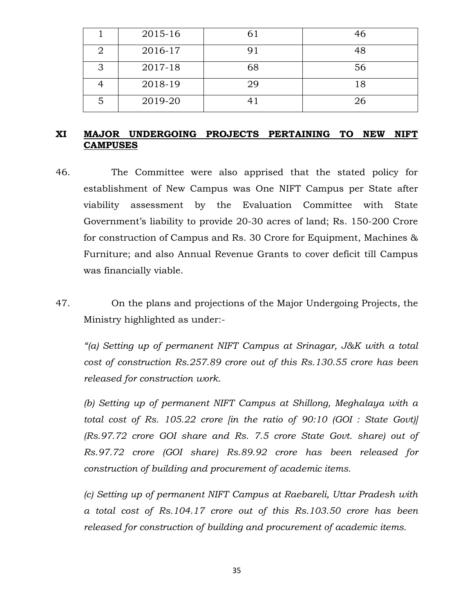|   | 2015-16 | 61 | 46 |
|---|---------|----|----|
|   | 2016-17 | 91 | 48 |
| З | 2017-18 | 68 | 56 |
|   | 2018-19 | 29 | 18 |
|   | 2019-20 | 41 | 26 |

#### **XI MAJOR UNDERGOING PROJECTS PERTAINING TO NEW NIFT CAMPUSES**

- 46. The Committee were also apprised that the stated policy for establishment of New Campus was One NIFT Campus per State after viability assessment by the Evaluation Committee with State Government's liability to provide 20-30 acres of land; Rs. 150-200 Crore for construction of Campus and Rs. 30 Crore for Equipment, Machines & Furniture; and also Annual Revenue Grants to cover deficit till Campus was financially viable.
- 47. On the plans and projections of the Major Undergoing Projects, the Ministry highlighted as under:-

*"(a) Setting up of permanent NIFT Campus at Srinagar, J&K with a total cost of construction Rs.257.89 crore out of this Rs.130.55 crore has been released for construction work.*

*(b) Setting up of permanent NIFT Campus at Shillong, Meghalaya with a total cost of Rs. 105.22 crore [in the ratio of 90:10 (GOI : State Govt)] (Rs.97.72 crore GOI share and Rs. 7.5 crore State Govt. share) out of Rs.97.72 crore (GOI share) Rs.89.92 crore has been released for construction of building and procurement of academic items.*

*(c) Setting up of permanent NIFT Campus at Raebareli, Uttar Pradesh with a total cost of Rs.104.17 crore out of this Rs.103.50 crore has been released for construction of building and procurement of academic items.*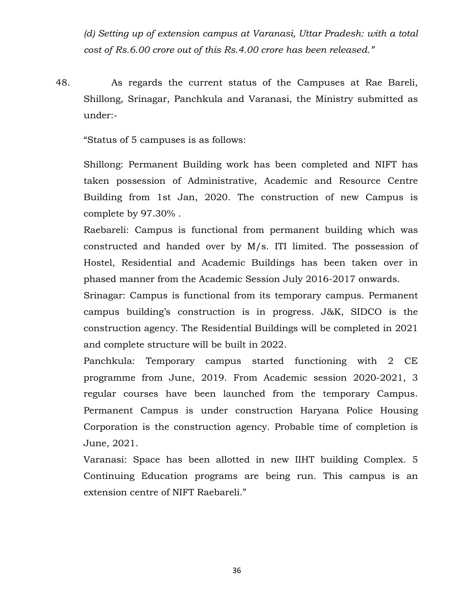*(d) Setting up of extension campus at Varanasi, Uttar Pradesh: with a total cost of Rs.6.00 crore out of this Rs.4.00 crore has been released."*

48. As regards the current status of the Campuses at Rae Bareli, Shillong, Srinagar, Panchkula and Varanasi, the Ministry submitted as under:-

"Status of 5 campuses is as follows:

Shillong: Permanent Building work has been completed and NIFT has taken possession of Administrative, Academic and Resource Centre Building from 1st Jan, 2020. The construction of new Campus is complete by 97.30% .

Raebareli: Campus is functional from permanent building which was constructed and handed over by M/s. ITI limited. The possession of Hostel, Residential and Academic Buildings has been taken over in phased manner from the Academic Session July 2016-2017 onwards.

Srinagar: Campus is functional from its temporary campus. Permanent campus building's construction is in progress. J&K, SIDCO is the construction agency. The Residential Buildings will be completed in 2021 and complete structure will be built in 2022.

Panchkula: Temporary campus started functioning with 2 CE programme from June, 2019. From Academic session 2020-2021, 3 regular courses have been launched from the temporary Campus. Permanent Campus is under construction Haryana Police Housing Corporation is the construction agency. Probable time of completion is June, 2021.

Varanasi: Space has been allotted in new IIHT building Complex. 5 Continuing Education programs are being run. This campus is an extension centre of NIFT Raebareli."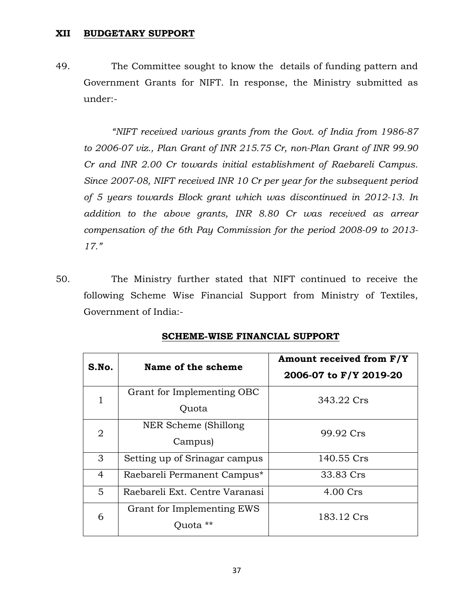#### **XII BUDGETARY SUPPORT**

49. The Committee sought to know the details of funding pattern and Government Grants for NIFT. In response, the Ministry submitted as under:-

*"NIFT received various grants from the Govt. of India from 1986-87 to 2006-07 viz., Plan Grant of INR 215.75 Cr, non-Plan Grant of INR 99.90 Cr and INR 2.00 Cr towards initial establishment of Raebareli Campus. Since 2007-08, NIFT received INR 10 Cr per year for the subsequent period of 5 years towards Block grant which was discontinued in 2012-13. In addition to the above grants, INR 8.80 Cr was received as arrear compensation of the 6th Pay Commission for the period 2008-09 to 2013- 17."*

50. The Ministry further stated that NIFT continued to receive the following Scheme Wise Financial Support from Ministry of Textiles, Government of India:-

| S.No.          | Name of the scheme             | Amount received from F/Y<br>2006-07 to F/Y 2019-20 |  |
|----------------|--------------------------------|----------------------------------------------------|--|
|                | Grant for Implementing OBC     | 343.22 Crs                                         |  |
|                | Ouota                          |                                                    |  |
| $\overline{2}$ | NER Scheme (Shillong)          | 99.92 Crs                                          |  |
|                | Campus)                        |                                                    |  |
| 3              | Setting up of Srinagar campus  | 140.55 Crs                                         |  |
| 4              | Raebareli Permanent Campus*    | 33.83 Crs                                          |  |
| 5              | Raebareli Ext. Centre Varanasi | 4.00 Crs                                           |  |
| 6              | Grant for Implementing EWS     | 183.12 Crs                                         |  |
|                | Quota **                       |                                                    |  |

#### **SCHEME-WISE FINANCIAL SUPPORT**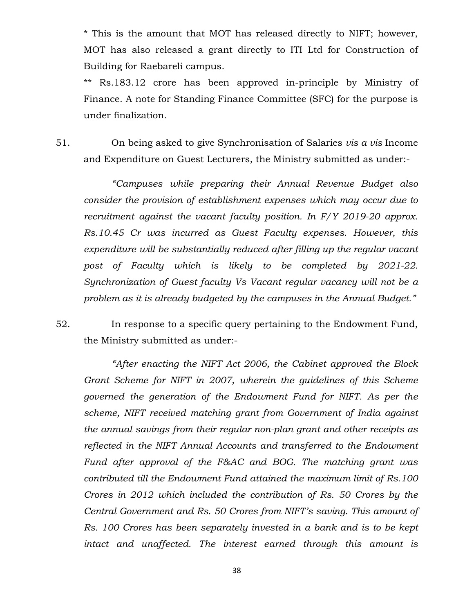\* This is the amount that MOT has released directly to NIFT; however, MOT has also released a grant directly to ITI Ltd for Construction of Building for Raebareli campus.

\*\* Rs.183.12 crore has been approved in-principle by Ministry of Finance. A note for Standing Finance Committee (SFC) for the purpose is under finalization.

51. On being asked to give Synchronisation of Salaries *vis a vis* Income and Expenditure on Guest Lecturers, the Ministry submitted as under:-

*"Campuses while preparing their Annual Revenue Budget also consider the provision of establishment expenses which may occur due to recruitment against the vacant faculty position. In F/Y 2019-20 approx. Rs.10.45 Cr was incurred as Guest Faculty expenses. However, this expenditure will be substantially reduced after filling up the regular vacant post of Faculty which is likely to be completed by 2021-22. Synchronization of Guest faculty Vs Vacant regular vacancy will not be a problem as it is already budgeted by the campuses in the Annual Budget."*

52. In response to a specific query pertaining to the Endowment Fund, the Ministry submitted as under:-

*"After enacting the NIFT Act 2006, the Cabinet approved the Block Grant Scheme for NIFT in 2007, wherein the guidelines of this Scheme governed the generation of the Endowment Fund for NIFT. As per the scheme, NIFT received matching grant from Government of India against the annual savings from their regular non-plan grant and other receipts as reflected in the NIFT Annual Accounts and transferred to the Endowment Fund after approval of the F&AC and BOG. The matching grant was contributed till the Endowment Fund attained the maximum limit of Rs.100 Crores in 2012 which included the contribution of Rs. 50 Crores by the Central Government and Rs. 50 Crores from NIFT's saving. This amount of Rs. 100 Crores has been separately invested in a bank and is to be kept intact and unaffected. The interest earned through this amount is*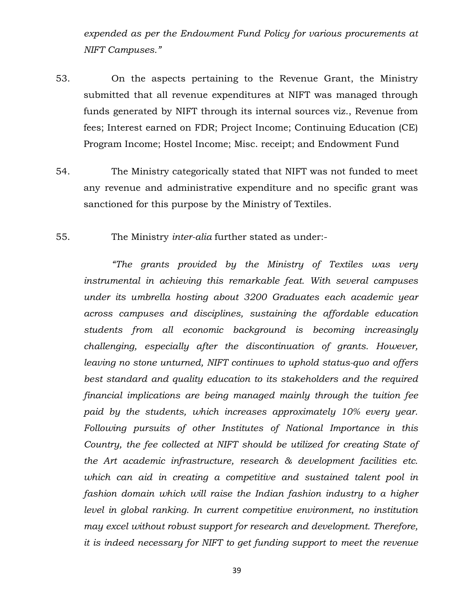*expended as per the Endowment Fund Policy for various procurements at NIFT Campuses."*

- 53. On the aspects pertaining to the Revenue Grant, the Ministry submitted that all revenue expenditures at NIFT was managed through funds generated by NIFT through its internal sources viz., Revenue from fees; Interest earned on FDR; Project Income; Continuing Education (CE) Program Income; Hostel Income; Misc. receipt; and Endowment Fund
- 54. The Ministry categorically stated that NIFT was not funded to meet any revenue and administrative expenditure and no specific grant was sanctioned for this purpose by the Ministry of Textiles.
- 55. The Ministry *inter-alia* further stated as under:-

*"The grants provided by the Ministry of Textiles was very instrumental in achieving this remarkable feat. With several campuses under its umbrella hosting about 3200 Graduates each academic year across campuses and disciplines, sustaining the affordable education students from all economic background is becoming increasingly challenging, especially after the discontinuation of grants. However, leaving no stone unturned, NIFT continues to uphold status-quo and offers best standard and quality education to its stakeholders and the required financial implications are being managed mainly through the tuition fee paid by the students, which increases approximately 10% every year. Following pursuits of other Institutes of National Importance in this Country, the fee collected at NIFT should be utilized for creating State of the Art academic infrastructure, research & development facilities etc. which can aid in creating a competitive and sustained talent pool in fashion domain which will raise the Indian fashion industry to a higher level in global ranking. In current competitive environment, no institution may excel without robust support for research and development. Therefore, it is indeed necessary for NIFT to get funding support to meet the revenue*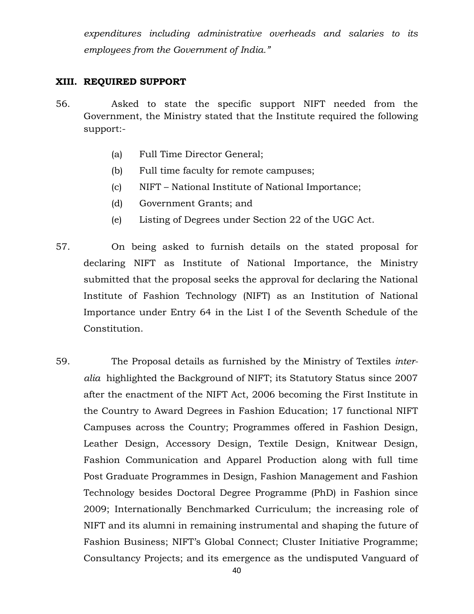*expenditures including administrative overheads and salaries to its employees from the Government of India."*

#### **XIII. REQUIRED SUPPORT**

- 56. Asked to state the specific support NIFT needed from the Government, the Ministry stated that the Institute required the following support:-
	- (a) Full Time Director General;
	- (b) Full time faculty for remote campuses;
	- (c) NIFT National Institute of National Importance;
	- (d) Government Grants; and
	- (e) Listing of Degrees under Section 22 of the UGC Act.
- 57. On being asked to furnish details on the stated proposal for declaring NIFT as Institute of National Importance, the Ministry submitted that the proposal seeks the approval for declaring the National Institute of Fashion Technology (NIFT) as an Institution of National Importance under Entry 64 in the List I of the Seventh Schedule of the Constitution.
- 59. The Proposal details as furnished by the Ministry of Textiles *interalia* highlighted the Background of NIFT; its Statutory Status since 2007 after the enactment of the NIFT Act, 2006 becoming the First Institute in the Country to Award Degrees in Fashion Education; 17 functional NIFT Campuses across the Country; Programmes offered in Fashion Design, Leather Design, Accessory Design, Textile Design, Knitwear Design, Fashion Communication and Apparel Production along with full time Post Graduate Programmes in Design, Fashion Management and Fashion Technology besides Doctoral Degree Programme (PhD) in Fashion since 2009; Internationally Benchmarked Curriculum; the increasing role of NIFT and its alumni in remaining instrumental and shaping the future of Fashion Business; NIFT's Global Connect; Cluster Initiative Programme; Consultancy Projects; and its emergence as the undisputed Vanguard of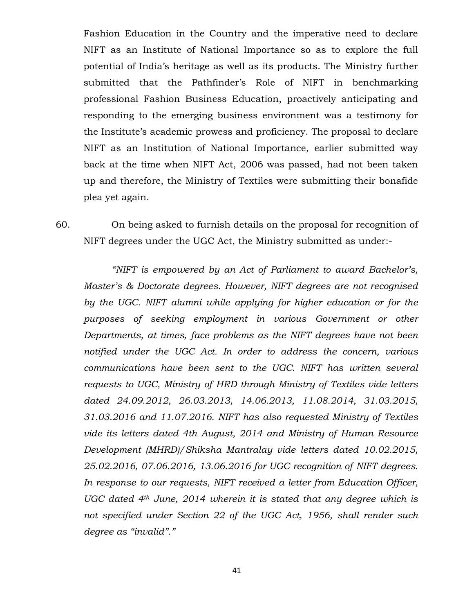Fashion Education in the Country and the imperative need to declare NIFT as an Institute of National Importance so as to explore the full potential of India's heritage as well as its products. The Ministry further submitted that the Pathfinder's Role of NIFT in benchmarking professional Fashion Business Education, proactively anticipating and responding to the emerging business environment was a testimony for the Institute's academic prowess and proficiency. The proposal to declare NIFT as an Institution of National Importance, earlier submitted way back at the time when NIFT Act, 2006 was passed, had not been taken up and therefore, the Ministry of Textiles were submitting their bonafide plea yet again.

60. On being asked to furnish details on the proposal for recognition of NIFT degrees under the UGC Act, the Ministry submitted as under:-

*"NIFT is empowered by an Act of Parliament to award Bachelor's, Master's & Doctorate degrees. However, NIFT degrees are not recognised by the UGC. NIFT alumni while applying for higher education or for the purposes of seeking employment in various Government or other Departments, at times, face problems as the NIFT degrees have not been notified under the UGC Act. In order to address the concern, various communications have been sent to the UGC. NIFT has written several requests to UGC, Ministry of HRD through Ministry of Textiles vide letters dated 24.09.2012, 26.03.2013, 14.06.2013, 11.08.2014, 31.03.2015, 31.03.2016 and 11.07.2016. NIFT has also requested Ministry of Textiles vide its letters dated 4th August, 2014 and Ministry of Human Resource Development (MHRD)/Shiksha Mantralay vide letters dated 10.02.2015, 25.02.2016, 07.06.2016, 13.06.2016 for UGC recognition of NIFT degrees. In response to our requests, NIFT received a letter from Education Officer, UGC dated 4th June, 2014 wherein it is stated that any degree which is not specified under Section 22 of the UGC Act, 1956, shall render such degree as "invalid"."*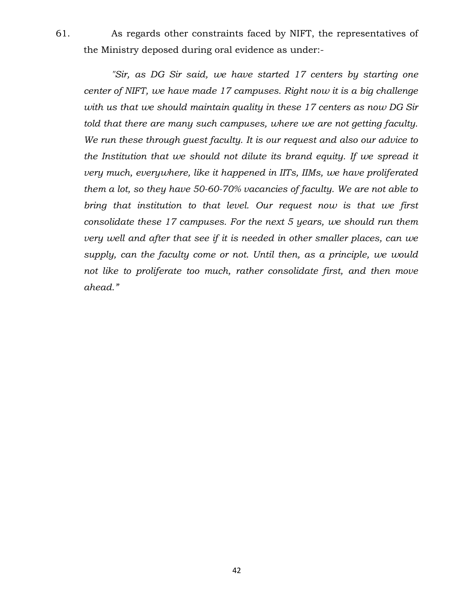61. As regards other constraints faced by NIFT, the representatives of the Ministry deposed during oral evidence as under:-

*"Sir, as DG Sir said, we have started 17 centers by starting one center of NIFT, we have made 17 campuses. Right now it is a big challenge with us that we should maintain quality in these 17 centers as now DG Sir told that there are many such campuses, where we are not getting faculty. We run these through guest faculty. It is our request and also our advice to the Institution that we should not dilute its brand equity. If we spread it very much, everywhere, like it happened in IITs, IIMs, we have proliferated them a lot, so they have 50-60-70% vacancies of faculty. We are not able to bring that institution to that level. Our request now is that we first consolidate these 17 campuses. For the next 5 years, we should run them very well and after that see if it is needed in other smaller places, can we supply, can the faculty come or not. Until then, as a principle, we would not like to proliferate too much, rather consolidate first, and then move ahead."*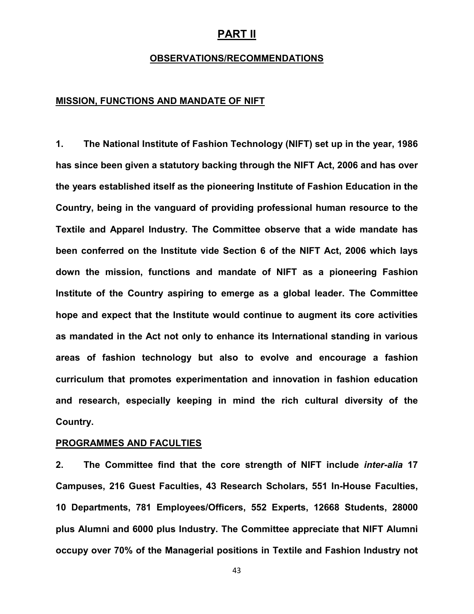#### **PART II**

#### **OBSERVATIONS/RECOMMENDATIONS**

#### **MISSION, FUNCTIONS AND MANDATE OF NIFT**

**1. The National Institute of Fashion Technology (NIFT) set up in the year, 1986 has since been given a statutory backing through the NIFT Act, 2006 and has over the years established itself as the pioneering Institute of Fashion Education in the Country, being in the vanguard of providing professional human resource to the Textile and Apparel Industry. The Committee observe that a wide mandate has been conferred on the Institute vide Section 6 of the NIFT Act, 2006 which lays down the mission, functions and mandate of NIFT as a pioneering Fashion Institute of the Country aspiring to emerge as a global leader. The Committee hope and expect that the Institute would continue to augment its core activities as mandated in the Act not only to enhance its International standing in various areas of fashion technology but also to evolve and encourage a fashion curriculum that promotes experimentation and innovation in fashion education and research, especially keeping in mind the rich cultural diversity of the Country.** 

#### **PROGRAMMES AND FACULTIES**

**2. The Committee find that the core strength of NIFT include** *inter-alia* **17 Campuses, 216 Guest Faculties, 43 Research Scholars, 551 In-House Faculties, 10 Departments, 781 Employees/Officers, 552 Experts, 12668 Students, 28000 plus Alumni and 6000 plus Industry. The Committee appreciate that NIFT Alumni occupy over 70% of the Managerial positions in Textile and Fashion Industry not**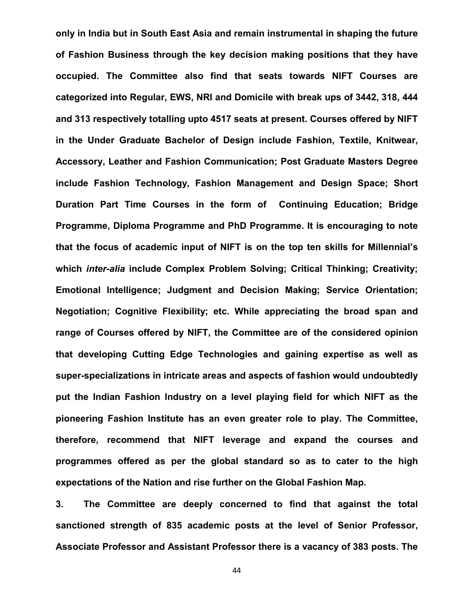**only in India but in South East Asia and remain instrumental in shaping the future of Fashion Business through the key decision making positions that they have occupied. The Committee also find that seats towards NIFT Courses are categorized into Regular, EWS, NRI and Domicile with break ups of 3442, 318, 444 and 313 respectively totalling upto 4517 seats at present. Courses offered by NIFT in the Under Graduate Bachelor of Design include Fashion, Textile, Knitwear, Accessory, Leather and Fashion Communication; Post Graduate Masters Degree include Fashion Technology, Fashion Management and Design Space; Short Duration Part Time Courses in the form of Continuing Education; Bridge Programme, Diploma Programme and PhD Programme. It is encouraging to note that the focus of academic input of NIFT is on the top ten skills for Millennial's which** *inter-alia* **include Complex Problem Solving; Critical Thinking; Creativity; Emotional Intelligence; Judgment and Decision Making; Service Orientation; Negotiation; Cognitive Flexibility; etc. While appreciating the broad span and range of Courses offered by NIFT, the Committee are of the considered opinion that developing Cutting Edge Technologies and gaining expertise as well as super-specializations in intricate areas and aspects of fashion would undoubtedly put the Indian Fashion Industry on a level playing field for which NIFT as the pioneering Fashion Institute has an even greater role to play. The Committee, therefore, recommend that NIFT leverage and expand the courses and programmes offered as per the global standard so as to cater to the high expectations of the Nation and rise further on the Global Fashion Map.** 

**3. The Committee are deeply concerned to find that against the total sanctioned strength of 835 academic posts at the level of Senior Professor, Associate Professor and Assistant Professor there is a vacancy of 383 posts. The**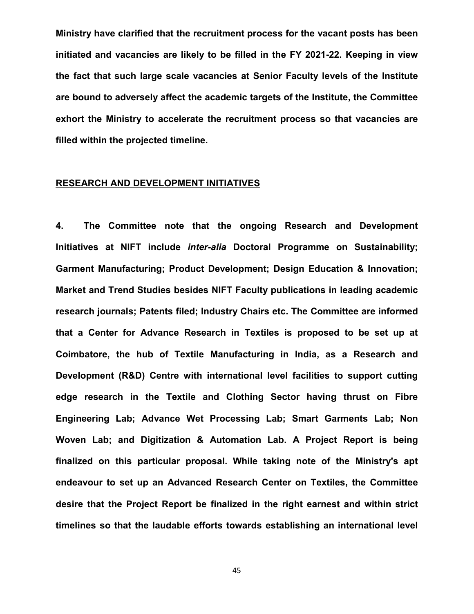**Ministry have clarified that the recruitment process for the vacant posts has been initiated and vacancies are likely to be filled in the FY 2021-22. Keeping in view the fact that such large scale vacancies at Senior Faculty levels of the Institute are bound to adversely affect the academic targets of the Institute, the Committee exhort the Ministry to accelerate the recruitment process so that vacancies are filled within the projected timeline.** 

#### **RESEARCH AND DEVELOPMENT INITIATIVES**

**4. The Committee note that the ongoing Research and Development Initiatives at NIFT include** *inter-alia* **Doctoral Programme on Sustainability; Garment Manufacturing; Product Development; Design Education & Innovation; Market and Trend Studies besides NIFT Faculty publications in leading academic research journals; Patents filed; Industry Chairs etc. The Committee are informed that a Center for Advance Research in Textiles is proposed to be set up at Coimbatore, the hub of Textile Manufacturing in India, as a Research and Development (R&D) Centre with international level facilities to support cutting edge research in the Textile and Clothing Sector having thrust on Fibre Engineering Lab; Advance Wet Processing Lab; Smart Garments Lab; Non Woven Lab; and Digitization & Automation Lab. A Project Report is being finalized on this particular proposal. While taking note of the Ministry's apt endeavour to set up an Advanced Research Center on Textiles, the Committee desire that the Project Report be finalized in the right earnest and within strict timelines so that the laudable efforts towards establishing an international level**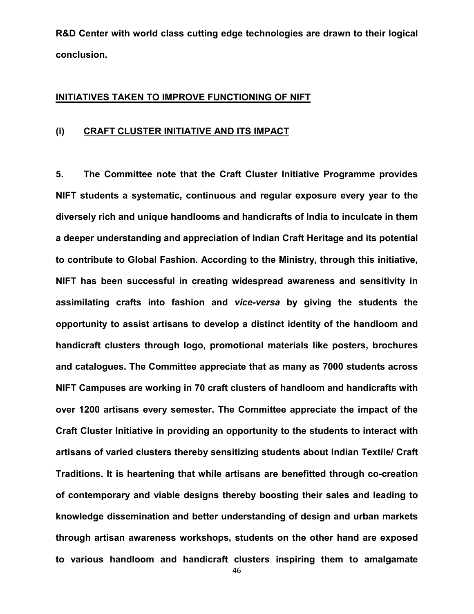**R&D Center with world class cutting edge technologies are drawn to their logical conclusion.**

#### **INITIATIVES TAKEN TO IMPROVE FUNCTIONING OF NIFT**

#### **(i) CRAFT CLUSTER INITIATIVE AND ITS IMPACT**

**5. The Committee note that the Craft Cluster Initiative Programme provides NIFT students a systematic, continuous and regular exposure every year to the diversely rich and unique handlooms and handicrafts of India to inculcate in them a deeper understanding and appreciation of Indian Craft Heritage and its potential to contribute to Global Fashion. According to the Ministry, through this initiative, NIFT has been successful in creating widespread awareness and sensitivity in assimilating crafts into fashion and** *vice-versa* **by giving the students the opportunity to assist artisans to develop a distinct identity of the handloom and handicraft clusters through logo, promotional materials like posters, brochures and catalogues. The Committee appreciate that as many as 7000 students across NIFT Campuses are working in 70 craft clusters of handloom and handicrafts with over 1200 artisans every semester. The Committee appreciate the impact of the Craft Cluster Initiative in providing an opportunity to the students to interact with artisans of varied clusters thereby sensitizing students about Indian Textile/ Craft Traditions. It is heartening that while artisans are benefitted through co-creation of contemporary and viable designs thereby boosting their sales and leading to knowledge dissemination and better understanding of design and urban markets through artisan awareness workshops, students on the other hand are exposed to various handloom and handicraft clusters inspiring them to amalgamate**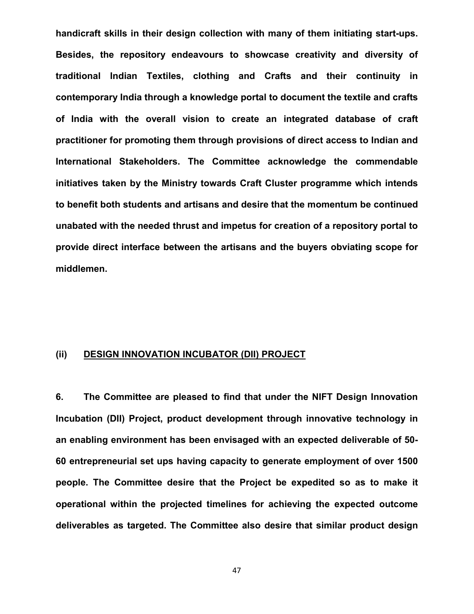**handicraft skills in their design collection with many of them initiating start-ups. Besides, the repository endeavours to showcase creativity and diversity of traditional Indian Textiles, clothing and Crafts and their continuity in contemporary India through a knowledge portal to document the textile and crafts of India with the overall vision to create an integrated database of craft practitioner for promoting them through provisions of direct access to Indian and International Stakeholders. The Committee acknowledge the commendable initiatives taken by the Ministry towards Craft Cluster programme which intends to benefit both students and artisans and desire that the momentum be continued unabated with the needed thrust and impetus for creation of a repository portal to provide direct interface between the artisans and the buyers obviating scope for middlemen.**

#### **(ii) DESIGN INNOVATION INCUBATOR (DII) PROJECT**

**6. The Committee are pleased to find that under the NIFT Design Innovation Incubation (DII) Project, product development through innovative technology in an enabling environment has been envisaged with an expected deliverable of 50- 60 entrepreneurial set ups having capacity to generate employment of over 1500 people. The Committee desire that the Project be expedited so as to make it operational within the projected timelines for achieving the expected outcome deliverables as targeted. The Committee also desire that similar product design**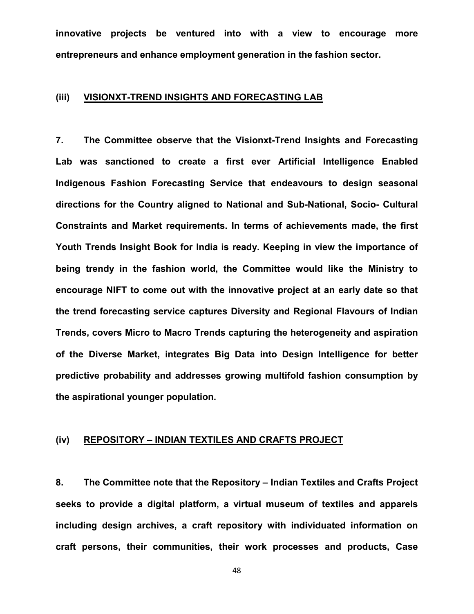**innovative projects be ventured into with a view to encourage more entrepreneurs and enhance employment generation in the fashion sector.**

#### **(iii) VISIONXT-TREND INSIGHTS AND FORECASTING LAB**

**7. The Committee observe that the Visionxt-Trend Insights and Forecasting Lab was sanctioned to create a first ever Artificial Intelligence Enabled Indigenous Fashion Forecasting Service that endeavours to design seasonal directions for the Country aligned to National and Sub-National, Socio- Cultural Constraints and Market requirements. In terms of achievements made, the first Youth Trends Insight Book for India is ready. Keeping in view the importance of being trendy in the fashion world, the Committee would like the Ministry to encourage NIFT to come out with the innovative project at an early date so that the trend forecasting service captures Diversity and Regional Flavours of Indian Trends, covers Micro to Macro Trends capturing the heterogeneity and aspiration of the Diverse Market, integrates Big Data into Design Intelligence for better predictive probability and addresses growing multifold fashion consumption by the aspirational younger population.**

#### **(iv) REPOSITORY – INDIAN TEXTILES AND CRAFTS PROJECT**

**8. The Committee note that the Repository – Indian Textiles and Crafts Project seeks to provide a digital platform, a virtual museum of textiles and apparels including design archives, a craft repository with individuated information on craft persons, their communities, their work processes and products, Case**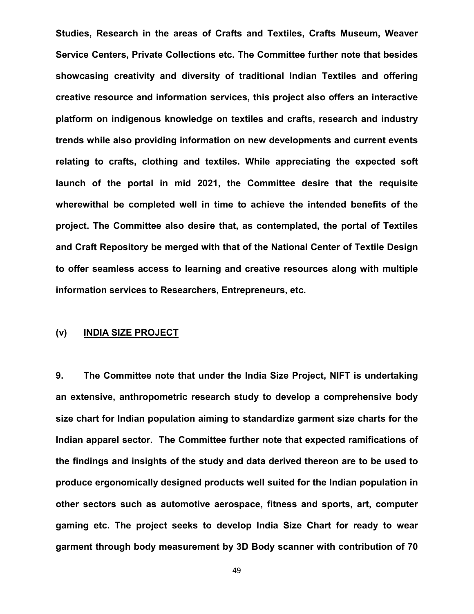**Studies, Research in the areas of Crafts and Textiles, Crafts Museum, Weaver Service Centers, Private Collections etc. The Committee further note that besides showcasing creativity and diversity of traditional Indian Textiles and offering creative resource and information services, this project also offers an interactive platform on indigenous knowledge on textiles and crafts, research and industry trends while also providing information on new developments and current events relating to crafts, clothing and textiles. While appreciating the expected soft launch of the portal in mid 2021, the Committee desire that the requisite wherewithal be completed well in time to achieve the intended benefits of the project. The Committee also desire that, as contemplated, the portal of Textiles and Craft Repository be merged with that of the National Center of Textile Design to offer seamless access to learning and creative resources along with multiple information services to Researchers, Entrepreneurs, etc.**

#### **(v) INDIA SIZE PROJECT**

**9. The Committee note that under the India Size Project, NIFT is undertaking an extensive, anthropometric research study to develop a comprehensive body size chart for Indian population aiming to standardize garment size charts for the Indian apparel sector. The Committee further note that expected ramifications of the findings and insights of the study and data derived thereon are to be used to produce ergonomically designed products well suited for the Indian population in other sectors such as automotive aerospace, fitness and sports, art, computer gaming etc. The project seeks to develop India Size Chart for ready to wear garment through body measurement by 3D Body scanner with contribution of 70**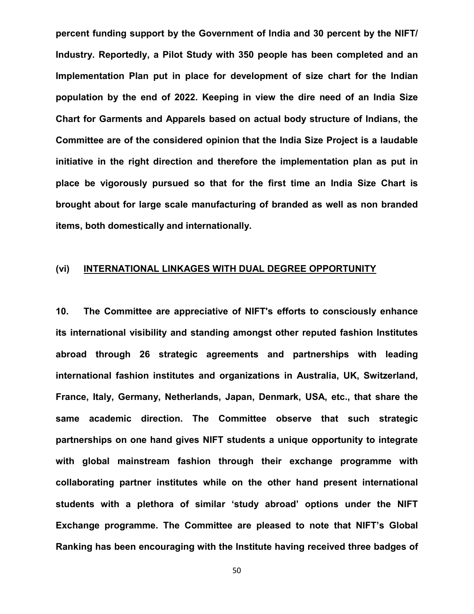**percent funding support by the Government of India and 30 percent by the NIFT/ Industry. Reportedly, a Pilot Study with 350 people has been completed and an Implementation Plan put in place for development of size chart for the Indian population by the end of 2022. Keeping in view the dire need of an India Size Chart for Garments and Apparels based on actual body structure of Indians, the Committee are of the considered opinion that the India Size Project is a laudable initiative in the right direction and therefore the implementation plan as put in place be vigorously pursued so that for the first time an India Size Chart is brought about for large scale manufacturing of branded as well as non branded items, both domestically and internationally.** 

#### **(vi) INTERNATIONAL LINKAGES WITH DUAL DEGREE OPPORTUNITY**

**10. The Committee are appreciative of NIFT's efforts to consciously enhance its international visibility and standing amongst other reputed fashion Institutes abroad through 26 strategic agreements and partnerships with leading international fashion institutes and organizations in Australia, UK, Switzerland, France, Italy, Germany, Netherlands, Japan, Denmark, USA, etc., that share the same academic direction. The Committee observe that such strategic partnerships on one hand gives NIFT students a unique opportunity to integrate with global mainstream fashion through their exchange programme with collaborating partner institutes while on the other hand present international students with a plethora of similar 'study abroad' options under the NIFT Exchange programme. The Committee are pleased to note that NIFT's Global Ranking has been encouraging with the Institute having received three badges of**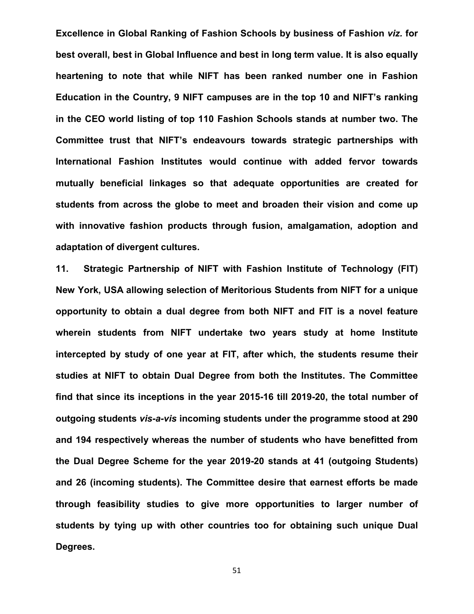**Excellence in Global Ranking of Fashion Schools by business of Fashion** *viz.* **for best overall, best in Global Influence and best in long term value. It is also equally heartening to note that while NIFT has been ranked number one in Fashion Education in the Country, 9 NIFT campuses are in the top 10 and NIFT's ranking in the CEO world listing of top 110 Fashion Schools stands at number two. The Committee trust that NIFT's endeavours towards strategic partnerships with International Fashion Institutes would continue with added fervor towards mutually beneficial linkages so that adequate opportunities are created for students from across the globe to meet and broaden their vision and come up with innovative fashion products through fusion, amalgamation, adoption and adaptation of divergent cultures.** 

**11. Strategic Partnership of NIFT with Fashion Institute of Technology (FIT) New York, USA allowing selection of Meritorious Students from NIFT for a unique opportunity to obtain a dual degree from both NIFT and FIT is a novel feature wherein students from NIFT undertake two years study at home Institute intercepted by study of one year at FIT, after which, the students resume their studies at NIFT to obtain Dual Degree from both the Institutes. The Committee find that since its inceptions in the year 2015-16 till 2019-20, the total number of outgoing students** *vis-a-vis* **incoming students under the programme stood at 290 and 194 respectively whereas the number of students who have benefitted from the Dual Degree Scheme for the year 2019-20 stands at 41 (outgoing Students) and 26 (incoming students). The Committee desire that earnest efforts be made through feasibility studies to give more opportunities to larger number of students by tying up with other countries too for obtaining such unique Dual Degrees.**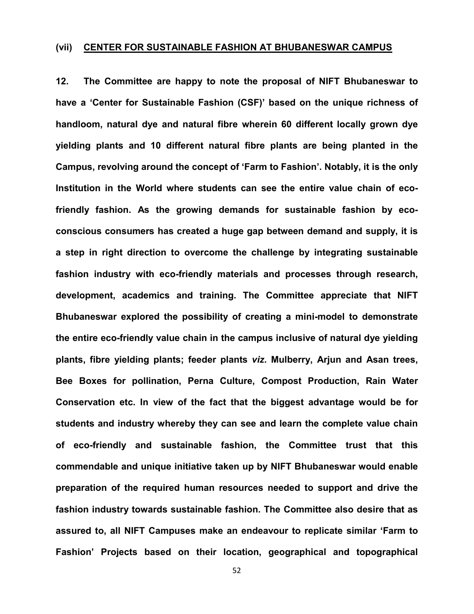#### **(vii) CENTER FOR SUSTAINABLE FASHION AT BHUBANESWAR CAMPUS**

**12. The Committee are happy to note the proposal of NIFT Bhubaneswar to have a 'Center for Sustainable Fashion (CSF)' based on the unique richness of handloom, natural dye and natural fibre wherein 60 different locally grown dye yielding plants and 10 different natural fibre plants are being planted in the Campus, revolving around the concept of 'Farm to Fashion'. Notably, it is the only Institution in the World where students can see the entire value chain of ecofriendly fashion. As the growing demands for sustainable fashion by ecoconscious consumers has created a huge gap between demand and supply, it is a step in right direction to overcome the challenge by integrating sustainable fashion industry with eco-friendly materials and processes through research, development, academics and training. The Committee appreciate that NIFT Bhubaneswar explored the possibility of creating a mini-model to demonstrate the entire eco-friendly value chain in the campus inclusive of natural dye yielding plants, fibre yielding plants; feeder plants** *viz.* **Mulberry, Arjun and Asan trees, Bee Boxes for pollination, Perna Culture, Compost Production, Rain Water Conservation etc. In view of the fact that the biggest advantage would be for students and industry whereby they can see and learn the complete value chain of eco-friendly and sustainable fashion, the Committee trust that this commendable and unique initiative taken up by NIFT Bhubaneswar would enable preparation of the required human resources needed to support and drive the fashion industry towards sustainable fashion. The Committee also desire that as assured to, all NIFT Campuses make an endeavour to replicate similar 'Farm to Fashion' Projects based on their location, geographical and topographical**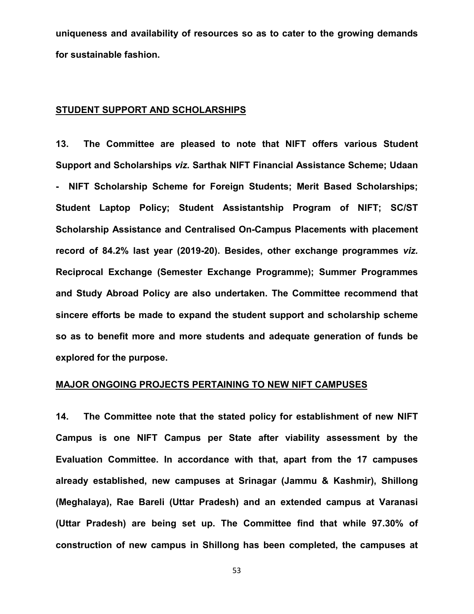**uniqueness and availability of resources so as to cater to the growing demands for sustainable fashion.**

#### **STUDENT SUPPORT AND SCHOLARSHIPS**

**13. The Committee are pleased to note that NIFT offers various Student Support and Scholarships** *viz.* **Sarthak NIFT Financial Assistance Scheme; Udaan - NIFT Scholarship Scheme for Foreign Students; Merit Based Scholarships; Student Laptop Policy; Student Assistantship Program of NIFT; SC/ST Scholarship Assistance and Centralised On-Campus Placements with placement record of 84.2% last year (2019-20). Besides, other exchange programmes** *viz.*  **Reciprocal Exchange (Semester Exchange Programme); Summer Programmes and Study Abroad Policy are also undertaken. The Committee recommend that sincere efforts be made to expand the student support and scholarship scheme so as to benefit more and more students and adequate generation of funds be explored for the purpose.** 

#### **MAJOR ONGOING PROJECTS PERTAINING TO NEW NIFT CAMPUSES**

**14. The Committee note that the stated policy for establishment of new NIFT Campus is one NIFT Campus per State after viability assessment by the Evaluation Committee. In accordance with that, apart from the 17 campuses already established, new campuses at Srinagar (Jammu & Kashmir), Shillong (Meghalaya), Rae Bareli (Uttar Pradesh) and an extended campus at Varanasi (Uttar Pradesh) are being set up. The Committee find that while 97.30% of construction of new campus in Shillong has been completed, the campuses at**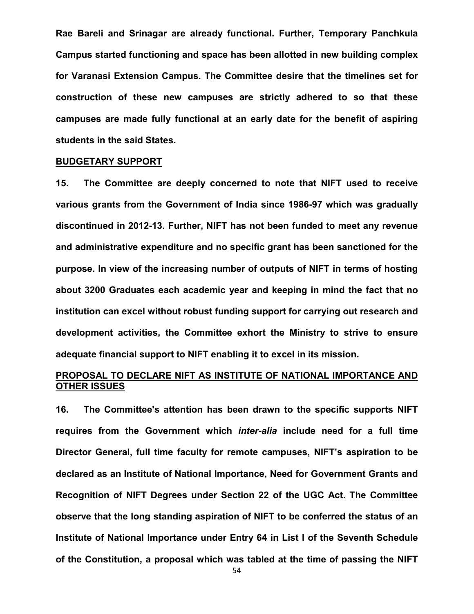**Rae Bareli and Srinagar are already functional. Further, Temporary Panchkula Campus started functioning and space has been allotted in new building complex for Varanasi Extension Campus. The Committee desire that the timelines set for construction of these new campuses are strictly adhered to so that these campuses are made fully functional at an early date for the benefit of aspiring students in the said States.**

#### **BUDGETARY SUPPORT**

**15. The Committee are deeply concerned to note that NIFT used to receive various grants from the Government of India since 1986-97 which was gradually discontinued in 2012-13. Further, NIFT has not been funded to meet any revenue and administrative expenditure and no specific grant has been sanctioned for the purpose. In view of the increasing number of outputs of NIFT in terms of hosting about 3200 Graduates each academic year and keeping in mind the fact that no institution can excel without robust funding support for carrying out research and development activities, the Committee exhort the Ministry to strive to ensure adequate financial support to NIFT enabling it to excel in its mission.**

#### **PROPOSAL TO DECLARE NIFT AS INSTITUTE OF NATIONAL IMPORTANCE AND OTHER ISSUES**

**16. The Committee's attention has been drawn to the specific supports NIFT requires from the Government which** *inter-alia* **include need for a full time Director General, full time faculty for remote campuses, NIFT's aspiration to be declared as an Institute of National Importance, Need for Government Grants and Recognition of NIFT Degrees under Section 22 of the UGC Act. The Committee observe that the long standing aspiration of NIFT to be conferred the status of an Institute of National Importance under Entry 64 in List I of the Seventh Schedule of the Constitution, a proposal which was tabled at the time of passing the NIFT**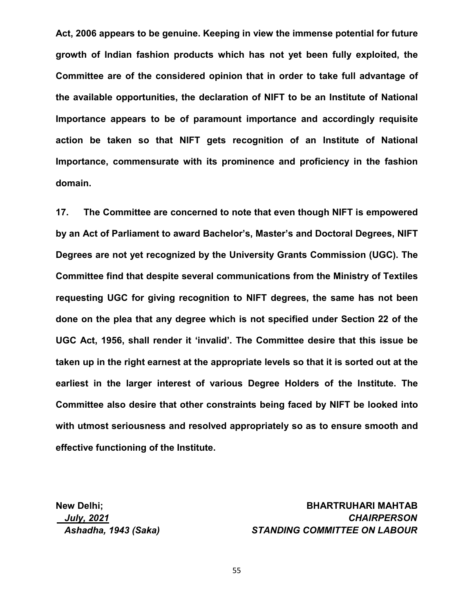**Act, 2006 appears to be genuine. Keeping in view the immense potential for future growth of Indian fashion products which has not yet been fully exploited, the Committee are of the considered opinion that in order to take full advantage of the available opportunities, the declaration of NIFT to be an Institute of National Importance appears to be of paramount importance and accordingly requisite action be taken so that NIFT gets recognition of an Institute of National Importance, commensurate with its prominence and proficiency in the fashion domain.**

**17. The Committee are concerned to note that even though NIFT is empowered by an Act of Parliament to award Bachelor's, Master's and Doctoral Degrees, NIFT Degrees are not yet recognized by the University Grants Commission (UGC). The Committee find that despite several communications from the Ministry of Textiles requesting UGC for giving recognition to NIFT degrees, the same has not been done on the plea that any degree which is not specified under Section 22 of the UGC Act, 1956, shall render it 'invalid'. The Committee desire that this issue be taken up in the right earnest at the appropriate levels so that it is sorted out at the earliest in the larger interest of various Degree Holders of the Institute. The Committee also desire that other constraints being faced by NIFT be looked into with utmost seriousness and resolved appropriately so as to ensure smooth and effective functioning of the Institute.** 

#### **New Delhi; BHARTRUHARI MAHTAB**  *July, 2021 CHAIRPERSON Ashadha, 1943 (Saka) STANDING COMMITTEE ON LABOUR*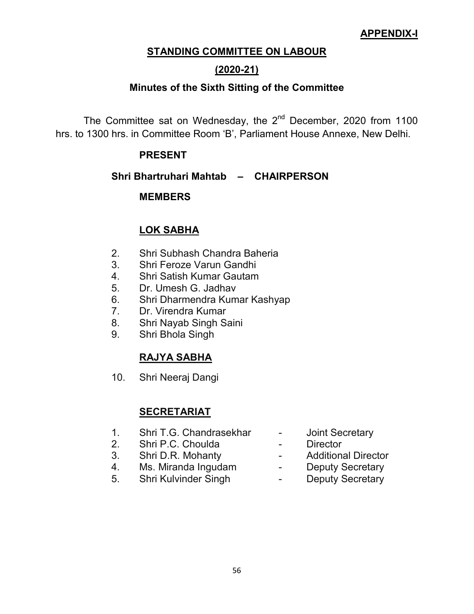#### **APPENDIX-I**

#### **STANDING COMMITTEE ON LABOUR**

#### **(2020-21)**

#### **Minutes of the Sixth Sitting of the Committee**

The Committee sat on Wednesday, the  $2^{nd}$  December, 2020 from 1100 hrs. to 1300 hrs. in Committee Room 'B', Parliament House Annexe, New Delhi.

#### **PRESENT**

#### **Shri Bhartruhari Mahtab – CHAIRPERSON**

#### **MEMBERS**

#### **LOK SABHA**

- 2. Shri Subhash Chandra Baheria
- 3. Shri Feroze Varun Gandhi
- 4. Shri Satish Kumar Gautam
- 5. Dr. Umesh G. Jadhav
- 6. Shri Dharmendra Kumar Kashyap
- 7. Dr. Virendra Kumar
- 8. Shri Nayab Singh Saini
- 9. Shri Bhola Singh

#### **RAJYA SABHA**

10. Shri Neeraj Dangi

#### **SECRETARIAT**

- 1. Shri T.G. Chandrasekhar Joint Secretary
- 2. Shri P.C. Choulda Director
- 3. Shri D.R. Mohanty Additional Director
- 4. Ms. Miranda Ingudam Deputy Secretary<br>5. Shri Kulvinder Singh Deputy Secretary
- 5. Shri Kulvinder Singh -
- 
- 
- 
- -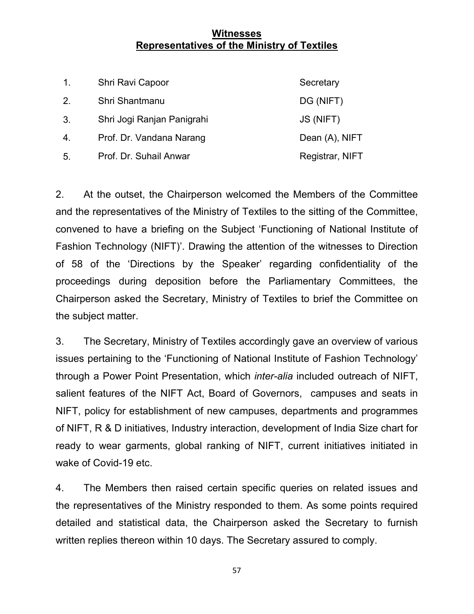#### **Witnesses Representatives of the Ministry of Textiles**

| $\mathbf{1}$ .   | Shri Ravi Capoor           | Secretary       |
|------------------|----------------------------|-----------------|
| 2.               | Shri Shantmanu             | DG (NIFT)       |
| 3.               | Shri Jogi Ranjan Panigrahi | JS (NIFT)       |
| $\overline{4}$ . | Prof. Dr. Vandana Narang   | Dean (A), NIFT  |
| 5.               | Prof. Dr. Suhail Anwar     | Registrar, NIFT |

2. At the outset, the Chairperson welcomed the Members of the Committee and the representatives of the Ministry of Textiles to the sitting of the Committee, convened to have a briefing on the Subject 'Functioning of National Institute of Fashion Technology (NIFT)'. Drawing the attention of the witnesses to Direction of 58 of the 'Directions by the Speaker' regarding confidentiality of the proceedings during deposition before the Parliamentary Committees, the Chairperson asked the Secretary, Ministry of Textiles to brief the Committee on the subject matter.

3. The Secretary, Ministry of Textiles accordingly gave an overview of various issues pertaining to the 'Functioning of National Institute of Fashion Technology' through a Power Point Presentation, which *inter-alia* included outreach of NIFT, salient features of the NIFT Act, Board of Governors, campuses and seats in NIFT, policy for establishment of new campuses, departments and programmes of NIFT, R & D initiatives, Industry interaction, development of India Size chart for ready to wear garments, global ranking of NIFT, current initiatives initiated in wake of Covid-19 etc.

4. The Members then raised certain specific queries on related issues and the representatives of the Ministry responded to them. As some points required detailed and statistical data, the Chairperson asked the Secretary to furnish written replies thereon within 10 days. The Secretary assured to comply.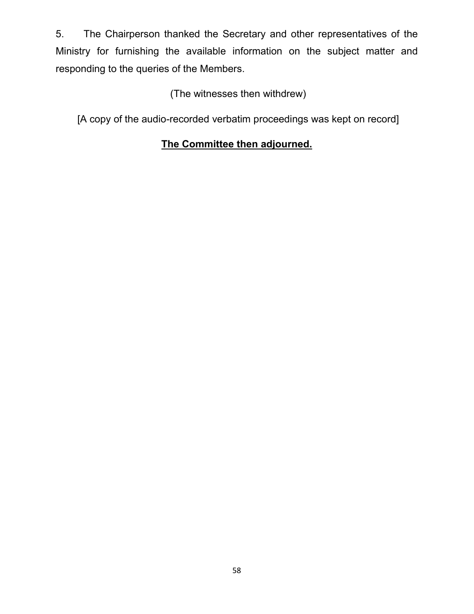5. The Chairperson thanked the Secretary and other representatives of the Ministry for furnishing the available information on the subject matter and responding to the queries of the Members.

## (The witnesses then withdrew)

[A copy of the audio-recorded verbatim proceedings was kept on record]

# **The Committee then adjourned.**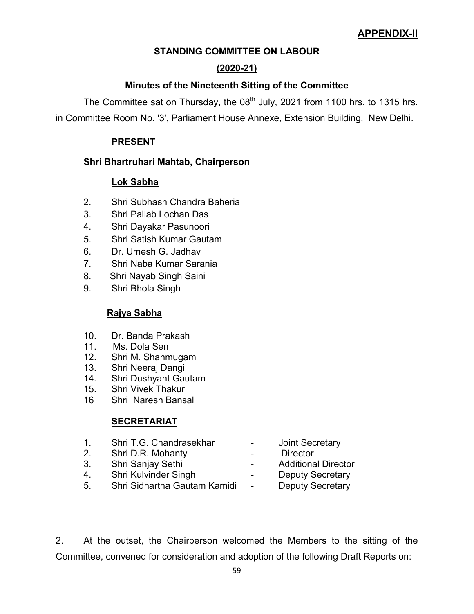### **APPENDIX-II**

#### **STANDING COMMITTEE ON LABOUR**

#### **(2020-21)**

#### **Minutes of the Nineteenth Sitting of the Committee**

The Committee sat on Thursday, the  $08<sup>th</sup>$  July, 2021 from 1100 hrs. to 1315 hrs.

in Committee Room No. '3', Parliament House Annexe, Extension Building, New Delhi.

#### **PRESENT**

#### **Shri Bhartruhari Mahtab, Chairperson**

#### **Lok Sabha**

- 2. Shri Subhash Chandra Baheria
- 3. Shri Pallab Lochan Das
- 4. Shri Dayakar Pasunoori
- 5. Shri Satish Kumar Gautam
- 6. Dr. Umesh G. Jadhav
- 7. Shri Naba Kumar Sarania
- 8. Shri Nayab Singh Saini
- 9. Shri Bhola Singh

#### **Rajya Sabha**

- 10. Dr. Banda Prakash
- 11. Ms. Dola Sen
- 12. Shri M. Shanmugam
- 13. Shri Neeraj Dangi
- 14. Shri Dushyant Gautam
- 15. Shri Vivek Thakur
- 16 Shri Naresh Bansal

#### **SECRETARIAT**

- 1. Shri T.G. Chandrasekhar Joint Secretary
- 2. Shri D.R. Mohanty  **Primerilla Director**
- 
- 4. Shri Kulvinder Singh  **Deputy Secretary**
- 5. Shri Sidhartha Gautam Kamidi Deputy Secretary
- 
- 
- 3. Shri Sanjay Sethi  **Additional Director** 
	- -

2. At the outset, the Chairperson welcomed the Members to the sitting of the Committee, convened for consideration and adoption of the following Draft Reports on: